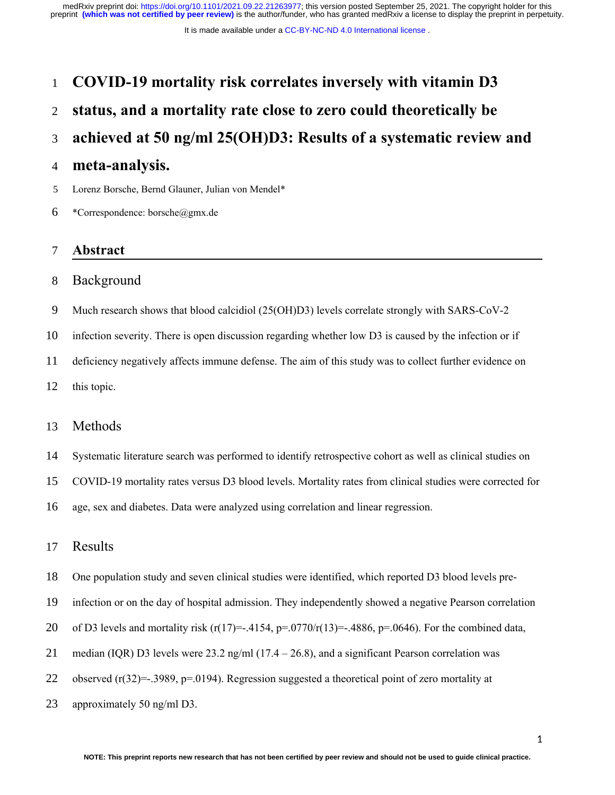# **COVID-19 mortality risk correlates inversely with vitamin D3**  1

# **status, and a mortality rate close to zero could theoretically be**  2

## **achieved at 50 ng/ml 25(OH)D3: Results of a systematic review and**  3

## **meta-analysis.** 4

Lorenz Borsche, Bernd Glauner, Julian von Mendel\* 5

\*Correspondence: borsche@gmx.de 6

#### **Abstract** 7

#### Background 8

Much research shows that blood calcidiol (25(OH)D3) levels correlate strongly with SARS-CoV-2 9

infection severity. There is open discussion regarding whether low D3 is caused by the infection or if 10

deficiency negatively affects immune defense. The aim of this study was to collect further evidence on 11

this topic. 12

#### Methods 13

Systematic literature search was performed to identify retrospective cohort as well as clinical studies on 14

COVID-19 mortality rates versus D3 blood levels. Mortality rates from clinical studies were corrected for 15

age, sex and diabetes. Data were analyzed using correlation and linear regression. 16

#### Results 17

- One population study and seven clinical studies were identified, which reported D3 blood levels pre-18
- infection or on the day of hospital admission. They independently showed a negative Pearson correlation 19
- of D3 levels and mortality risk (r(17)=-.4154, p=.0770/r(13)=-.4886, p=.0646). For the combined data, 20
- median (IQR) D3 levels were 23.2 ng/ml  $(17.4 26.8)$ , and a significant Pearson correlation was 21
- observed (r(32)=-.3989, p=.0194). Regression suggested a theoretical point of zero mortality at 22
- approximately 50 ng/ml D3. 23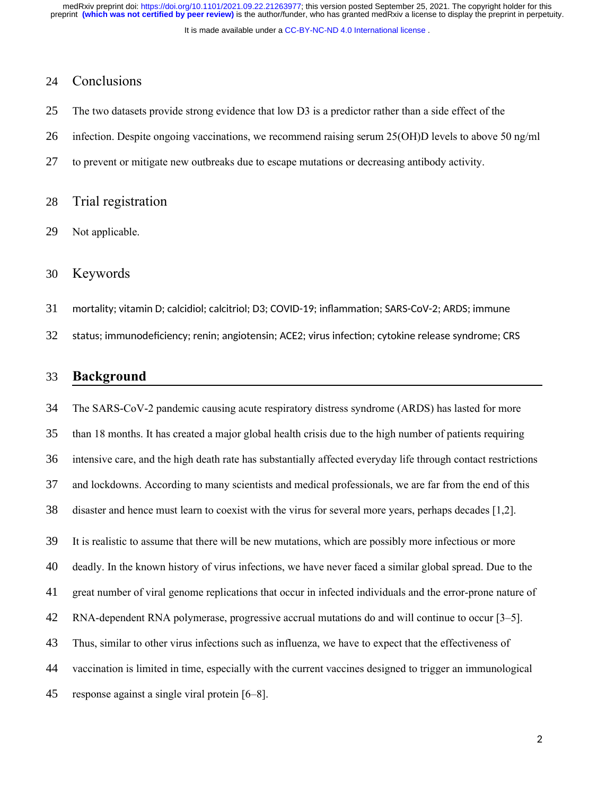It is made available under a [CC-BY-NC-ND 4.0 International license](http://creativecommons.org/licenses/by-nc-nd/4.0/) .

## Conclusions 24

- The two datasets provide strong evidence that low D3 is a predictor rather than a side effect of the 25
- infection. Despite ongoing vaccinations, we recommend raising serum 25(OH)D levels to above 50 ng/ml 26
- to prevent or mitigate new outbreaks due to escape mutations or decreasing antibody activity. 27
- Trial registration 28
- Not applicable. 29
- Keywords 30
- mortality; vitamin D; calcidiol; calcitriol; D3; COVID-19; inflammation; SARS-CoV-2; ARDS; immune 31
- status; immunodeficiency; renin; angiotensin; ACE2; virus infection; cytokine release syndrome; CRS 32

#### **Background** 33

The SARS-CoV-2 pandemic causing acute respiratory distress syndrome (ARDS) has lasted for more than 18 months. It has created a major global health crisis due to the high number of patients requiring intensive care, and the high death rate has substantially affected everyday life through contact restrictions and lockdowns. According to many scientists and medical professionals, we are far from the end of this disaster and hence must learn to coexist with the virus for several more years, perhaps decades [1,2]. It is realistic to assume that there will be new mutations, which are possibly more infectious or more deadly. In the known history of virus infections, we have never faced a similar global spread. Due to the great number of viral genome replications that occur in infected individuals and the error-prone nature of RNA-dependent RNA polymerase, progressive accrual mutations do and will continue to occur [3–5]. Thus, similar to other virus infections such as influenza, we have to expect that the effectiveness of vaccination is limited in time, especially with the current vaccines designed to trigger an immunological response against a single viral protein [6–8]. 34 35 36 37 38 39 40 41 42 43 44 45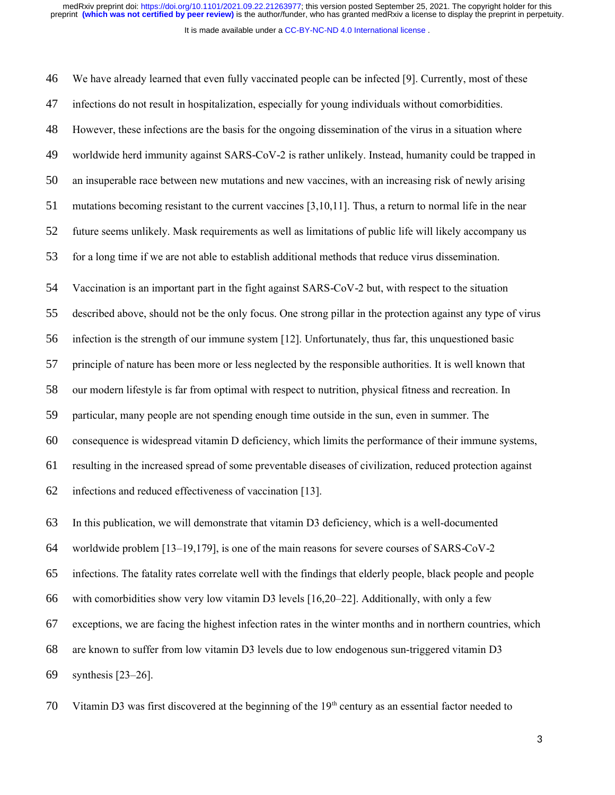It is made available under a [CC-BY-NC-ND 4.0 International license](http://creativecommons.org/licenses/by-nc-nd/4.0/) .

We have already learned that even fully vaccinated people can be infected [9]. Currently, most of these infections do not result in hospitalization, especially for young individuals without comorbidities. However, these infections are the basis for the ongoing dissemination of the virus in a situation where worldwide herd immunity against SARS-CoV-2 is rather unlikely. Instead, humanity could be trapped in an insuperable race between new mutations and new vaccines, with an increasing risk of newly arising mutations becoming resistant to the current vaccines [3,10,11]. Thus, a return to normal life in the near future seems unlikely. Mask requirements as well as limitations of public life will likely accompany us for a long time if we are not able to establish additional methods that reduce virus dissemination. Vaccination is an important part in the fight against SARS-CoV-2 but, with respect to the situation described above, should not be the only focus. One strong pillar in the protection against any type of virus infection is the strength of our immune system [12]. Unfortunately, thus far, this unquestioned basic principle of nature has been more or less neglected by the responsible authorities. It is well known that our modern lifestyle is far from optimal with respect to nutrition, physical fitness and recreation. In particular, many people are not spending enough time outside in the sun, even in summer. The consequence is widespread vitamin D deficiency, which limits the performance of their immune systems, resulting in the increased spread of some preventable diseases of civilization, reduced protection against infections and reduced effectiveness of vaccination [13]. In this publication, we will demonstrate that vitamin D3 deficiency, which is a well-documented worldwide problem  $[13-19,179]$ , is one of the main reasons for severe courses of SARS-CoV-2 infections. The fatality rates correlate well with the findings that elderly people, black people and people with comorbidities show very low vitamin D3 levels [16,20–22]. Additionally, with only a few exceptions, we are facing the highest infection rates in the winter months and in northern countries, which are known to suffer from low vitamin D3 levels due to low endogenous sun-triggered vitamin D3 synthesis [23–26]. 46 47 48 49 50 51 52 53 54 55 56 57 58 59 60 61 62 63 64 65 66 67 68 69

Vitamin D3 was first discovered at the beginning of the  $19<sup>th</sup>$  century as an essential factor needed to 70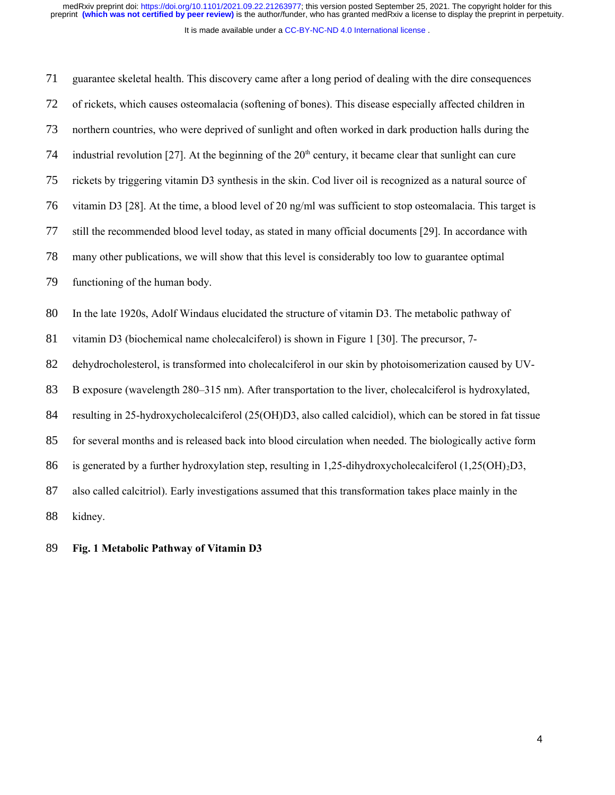medRxiv preprint doi: [https://doi.org/10.1101/2021.09.22.21263977;](https://doi.org/10.1101/2021.09.22.21263977) this version posted September 25, 2021. The copyright holder for this<br>preprint (which was not certified by peer review) is the author/funder, who has grant

It is made available under a [CC-BY-NC-ND 4.0 International license](http://creativecommons.org/licenses/by-nc-nd/4.0/) .

| 71 | guarantee skeletal health. This discovery came after a long period of dealing with the dire consequences    |
|----|-------------------------------------------------------------------------------------------------------------|
| 72 | of rickets, which causes osteomalacia (softening of bones). This disease especially affected children in    |
| 73 | northern countries, who were deprived of sunlight and often worked in dark production halls during the      |
| 74 | industrial revolution [27]. At the beginning of the $20th$ century, it became clear that sunlight can cure  |
| 75 | rickets by triggering vitamin D3 synthesis in the skin. Cod liver oil is recognized as a natural source of  |
| 76 | vitamin D3 [28]. At the time, a blood level of 20 ng/ml was sufficient to stop osteomalacia. This target is |
| 77 | still the recommended blood level today, as stated in many official documents [29]. In accordance with      |
| 78 | many other publications, we will show that this level is considerably too low to guarantee optimal          |
| 79 | functioning of the human body.                                                                              |
|    |                                                                                                             |
| 80 | In the late 1920s, Adolf Windaus elucidated the structure of vitamin D3. The metabolic pathway of           |
| 81 | vitamin D3 (biochemical name cholecalciferol) is shown in Figure 1 [30]. The precursor, 7-                  |
| 82 | dehydrocholesterol, is transformed into cholecalciferol in our skin by photoisomerization caused by UV-     |
| 83 | B exposure (wavelength 280–315 nm). After transportation to the liver, cholecalciferol is hydroxylated,     |
| 84 | resulting in 25-hydroxycholecalciferol (25(OH)D3, also called calcidiol), which can be stored in fat tissue |
| 85 | for several months and is released back into blood circulation when needed. The biologically active form    |
| 86 | is generated by a further hydroxylation step, resulting in 1,25-dihydroxycholecalciferol $(1,25(OH)_{2}D3,$ |
| 87 | also called calcitriol). Early investigations assumed that this transformation takes place mainly in the    |

## **Fig. 1 Metabolic Pathway of Vitamin D3** 89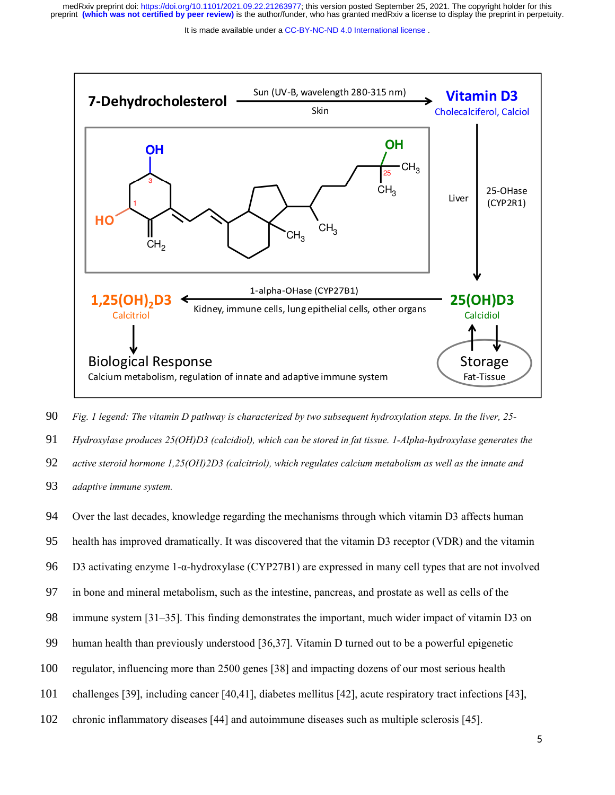It is made available under a CC-BY-NC-ND 4.0 International license.



*Fig. 1 legend: The vitamin D pathway is characterized by two subsequent hydroxylation steps. In the liver, 25- Hydroxylase produces 25(OH)D3 (calcidiol), which can be stored in fat tissue. 1-Alpha-hydroxylase generates the active steroid hormone 1,25(OH)2D3 (calcitriol), which regulates calcium metabolism as well as the innate and adaptive immune system.* 90 91 92 93

Over the last decades, knowledge regarding the mechanisms through which vitamin D3 affects human health has improved dramatically. It was discovered that the vitamin D3 receptor (VDR) and the vitamin D3 activating enzyme 1-α-hydroxylase (CYP27B1) are expressed in many cell types that are not involved in bone and mineral metabolism, such as the intestine, pancreas, and prostate as well as cells of the immune system [31–35]. This finding demonstrates the important, much wider impact of vitamin D3 on human health than previously understood [36,37]. Vitamin D turned out to be a powerful epigenetic regulator, influencing more than 2500 genes [38] and impacting dozens of our most serious health challenges [39], including cancer [40,41], diabetes mellitus [42], acute respiratory tract infections [43], chronic inflammatory diseases [44] and autoimmune diseases such as multiple sclerosis [45]. 94 95 96 97 98 99 100 101 102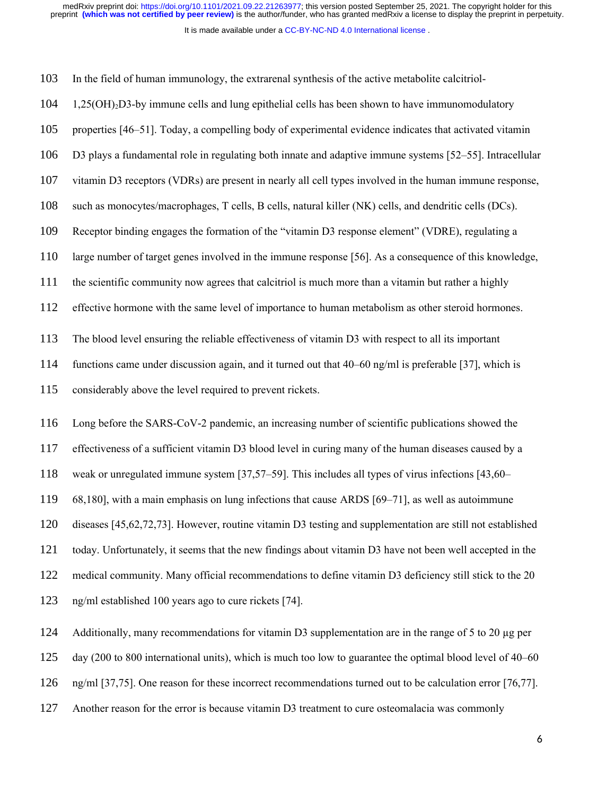medRxiv preprint doi: [https://doi.org/10.1101/2021.09.22.21263977;](https://doi.org/10.1101/2021.09.22.21263977) this version posted September 25, 2021. The copyright holder for this<br>preprint (which was not certified by peer review) is the author/funder, who has grant

It is made available under a CC-BY-NC-ND 4.0 International license.

| 103 | In the field of human immunology, the extrarenal synthesis of the active metabolite calcitriol-            |
|-----|------------------------------------------------------------------------------------------------------------|
| 104 | 1,25(OH) <sub>2</sub> D3-by immune cells and lung epithelial cells has been shown to have immunomodulatory |
| 105 | properties [46–51]. Today, a compelling body of experimental evidence indicates that activated vitamin     |
| 106 | D3 plays a fundamental role in regulating both innate and adaptive immune systems [52–55]. Intracellular   |
| 107 | vitamin D3 receptors (VDRs) are present in nearly all cell types involved in the human immune response,    |
| 108 | such as monocytes/macrophages, T cells, B cells, natural killer (NK) cells, and dendritic cells (DCs).     |
| 109 | Receptor binding engages the formation of the "vitamin D3 response element" (VDRE), regulating a           |
| 110 | large number of target genes involved in the immune response [56]. As a consequence of this knowledge,     |
| 111 | the scientific community now agrees that calcitriol is much more than a vitamin but rather a highly        |
| 112 | effective hormone with the same level of importance to human metabolism as other steroid hormones.         |
| 113 | The blood level ensuring the reliable effectiveness of vitamin D3 with respect to all its important        |
| 114 | functions came under discussion again, and it turned out that 40–60 ng/ml is preferable [37], which is     |
| 115 | considerably above the level required to prevent rickets.                                                  |
| 116 | Long before the SARS-CoV-2 pandemic, an increasing number of scientific publications showed the            |
| 117 | effectiveness of a sufficient vitamin D3 blood level in curing many of the human diseases caused by a      |
| 118 | weak or unregulated immune system [37,57–59]. This includes all types of virus infections [43,60–          |
| 119 | 68,180], with a main emphasis on lung infections that cause ARDS [69-71], as well as autoimmune            |
| 120 | diseases [45,62,72,73]. However, routine vitamin D3 testing and supplementation are still not established  |
| 121 | today. Unfortunately, it seems that the new findings about vitamin D3 have not been well accepted in the   |
|     |                                                                                                            |

medical community. Many official recommendations to define vitamin D3 deficiency still stick to the 20 122

ng/ml established 100 years ago to cure rickets [74]. 123

Additionally, many recommendations for vitamin D3 supplementation are in the range of 5 to 20  $\mu$ g per 124

day (200 to 800 international units), which is much too low to guarantee the optimal blood level of 40–60 125

- ng/ml [37,75]. One reason for these incorrect recommendations turned out to be calculation error [76,77]. 126
- Another reason for the error is because vitamin D3 treatment to cure osteomalacia was commonly 127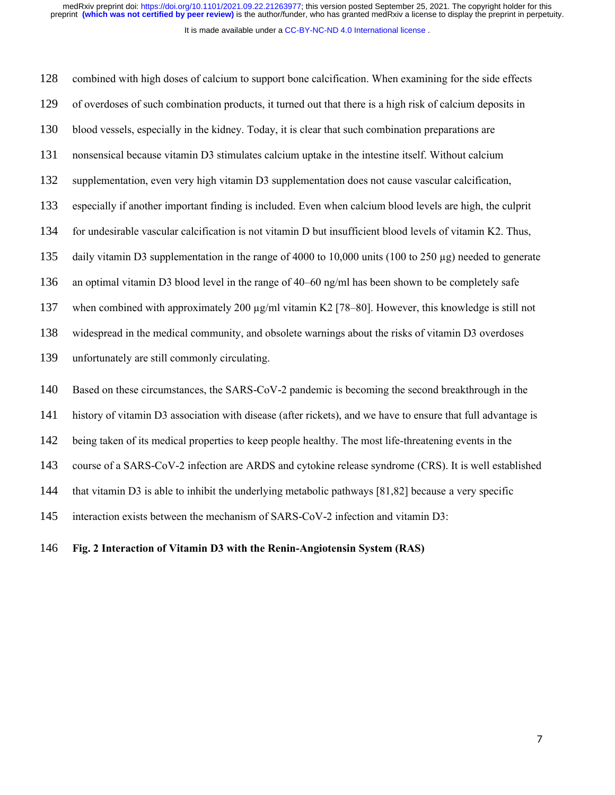It is made available under a [CC-BY-NC-ND 4.0 International license](http://creativecommons.org/licenses/by-nc-nd/4.0/) .

combined with high doses of calcium to support bone calcification. When examining for the side effects of overdoses of such combination products, it turned out that there is a high risk of calcium deposits in blood vessels, especially in the kidney. Today, it is clear that such combination preparations are nonsensical because vitamin D3 stimulates calcium uptake in the intestine itself. Without calcium supplementation, even very high vitamin D3 supplementation does not cause vascular calcification, especially if another important finding is included. Even when calcium blood levels are high, the culprit for undesirable vascular calcification is not vitamin D but insufficient blood levels of vitamin K2. Thus, daily vitamin D3 supplementation in the range of 4000 to 10,000 units (100 to 250  $\mu$ g) needed to generate an optimal vitamin D3 blood level in the range of 40–60 ng/ml has been shown to be completely safe when combined with approximately 200  $\mu$ g/ml vitamin K2 [78–80]. However, this knowledge is still not widespread in the medical community, and obsolete warnings about the risks of vitamin D3 overdoses unfortunately are still commonly circulating. Based on these circumstances, the SARS-CoV-2 pandemic is becoming the second breakthrough in the history of vitamin D3 association with disease (after rickets), and we have to ensure that full advantage is being taken of its medical properties to keep people healthy. The most life-threatening events in the course of a SARS-CoV-2 infection are ARDS and cytokine release syndrome (CRS). It is well established that vitamin D3 is able to inhibit the underlying metabolic pathways [81,82] because a very specific interaction exists between the mechanism of SARS-CoV-2 infection and vitamin D3: 128 129 130 131 132 133 134 135 136 137 138 139 140 141 142 143 144 145

#### **Fig. 2 Interaction of Vitamin D3 with the Renin-Angiotensin System (RAS)** 146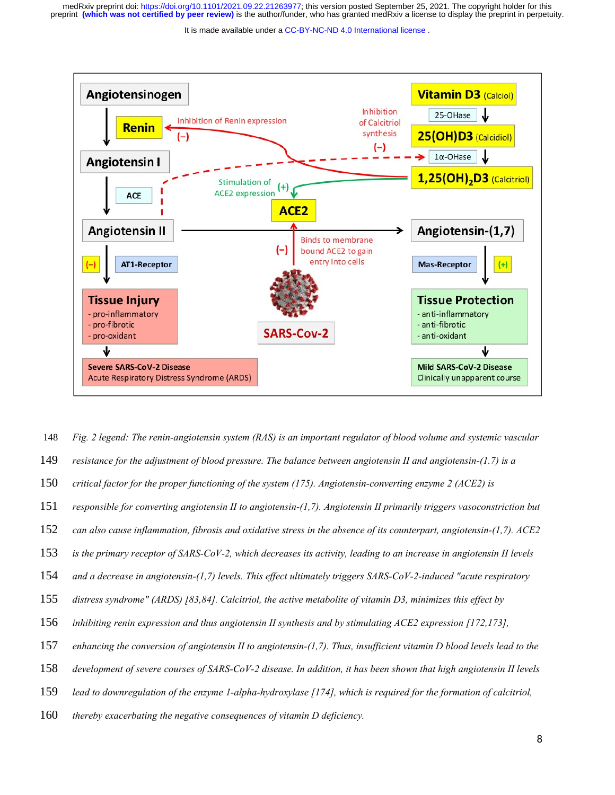It is made available under a CC-BY-NC-ND 4.0 International license.



*Fig. 2 legend: The renin-angiotensin system (RAS) is an important regulator of blood volume and systemic vascular resistance for the adjustment of blood pressure. The balance between angiotensin II and angiotensin-(1.7) is a critical factor for the proper functioning of the system (175). Angiotensin-converting enzyme 2 (ACE2) is responsible for converting angiotensin II to angiotensin-(1,7). Angiotensin II primarily triggers vasoconstriction but can also cause inflammation, fibrosis and oxidative stress in the absence of its counterpart, angiotensin-(1,7). ACE2 is the primary receptor of SARS-CoV-2, which decreases its activity, leading to an increase in angiotensin II levels and a decrease in angiotensin-(1,7) levels. This effect ultimately triggers SARS-CoV-2-induced "acute respiratory distress syndrome" (ARDS) [83,84]. Calcitriol, the active metabolite of vitamin D3, minimizes this effect by inhibiting renin expression and thus angiotensin II synthesis and by stimulating ACE2 expression [172,173], enhancing the conversion of angiotensin II to angiotensin-(1,7). Thus, insufficient vitamin D blood levels lead to the development of severe courses of SARS-CoV-2 disease. In addition, it has been shown that high angiotensin II levels* 148 149 150 151 152 153 154 155 156 157 158

*lead to downregulation of the enzyme 1-alpha-hydroxylase [174], which is required for the formation of calcitriol,*  159

*thereby exacerbating the negative consequences of vitamin D deficiency.* 160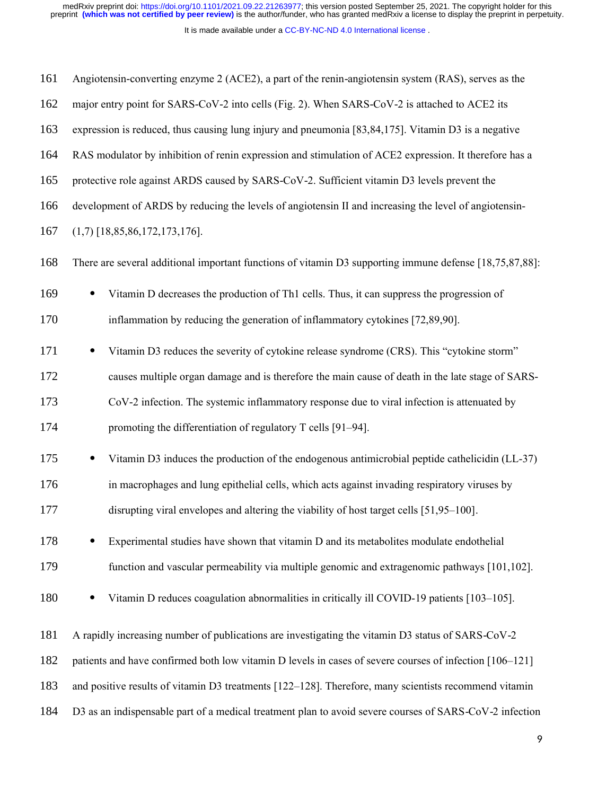medRxiv preprint doi: [https://doi.org/10.1101/2021.09.22.21263977;](https://doi.org/10.1101/2021.09.22.21263977) this version posted September 25, 2021. The copyright holder for this<br>preprint (which was not certified by peer review) is the author/funder, who has grant

| 161 | Angiotensin-converting enzyme 2 (ACE2), a part of the renin-angiotensin system (RAS), serves as the     |
|-----|---------------------------------------------------------------------------------------------------------|
| 162 | major entry point for SARS-CoV-2 into cells (Fig. 2). When SARS-CoV-2 is attached to ACE2 its           |
| 163 | expression is reduced, thus causing lung injury and pneumonia [83,84,175]. Vitamin D3 is a negative     |
| 164 | RAS modulator by inhibition of renin expression and stimulation of ACE2 expression. It therefore has a  |
| 165 | protective role against ARDS caused by SARS-CoV-2. Sufficient vitamin D3 levels prevent the             |
| 166 | development of ARDS by reducing the levels of angiotensin II and increasing the level of angiotensin-   |
| 167 | $(1,7)$ [18,85,86,172,173,176].                                                                         |
| 168 | There are several additional important functions of vitamin D3 supporting immune defense [18,75,87,88]: |
| 169 | Vitamin D decreases the production of Th1 cells. Thus, it can suppress the progression of               |
| 170 | inflammation by reducing the generation of inflammatory cytokines [72,89,90].                           |
| 171 | Vitamin D3 reduces the severity of cytokine release syndrome (CRS). This "cytokine storm"               |
| 172 | causes multiple organ damage and is therefore the main cause of death in the late stage of SARS-        |
| 173 | CoV-2 infection. The systemic inflammatory response due to viral infection is attenuated by             |
| 174 | promoting the differentiation of regulatory T cells [91-94].                                            |
| 175 | Vitamin D3 induces the production of the endogenous antimicrobial peptide cathelicidin (LL-37)          |
| 176 | in macrophages and lung epithelial cells, which acts against invading respiratory viruses by            |
| 177 | disrupting viral envelopes and altering the viability of host target cells [51,95–100].                 |
| 178 | Experimental studies have shown that vitamin D and its metabolites modulate endothelial                 |
| 179 | function and vascular permeability via multiple genomic and extragenomic pathways [101,102].            |
| 180 | Vitamin D reduces coagulation abnormalities in critically ill COVID-19 patients [103-105].              |
| 181 | A rapidly increasing number of publications are investigating the vitamin D3 status of SARS-CoV-2       |
| 182 | patients and have confirmed both low vitamin D levels in cases of severe courses of infection [106–121] |
| 183 | and positive results of vitamin D3 treatments [122-128]. Therefore, many scientists recommend vitamin   |
| 184 | D3 as an indispensable part of a medical treatment plan to avoid severe courses of SARS-CoV-2 infection |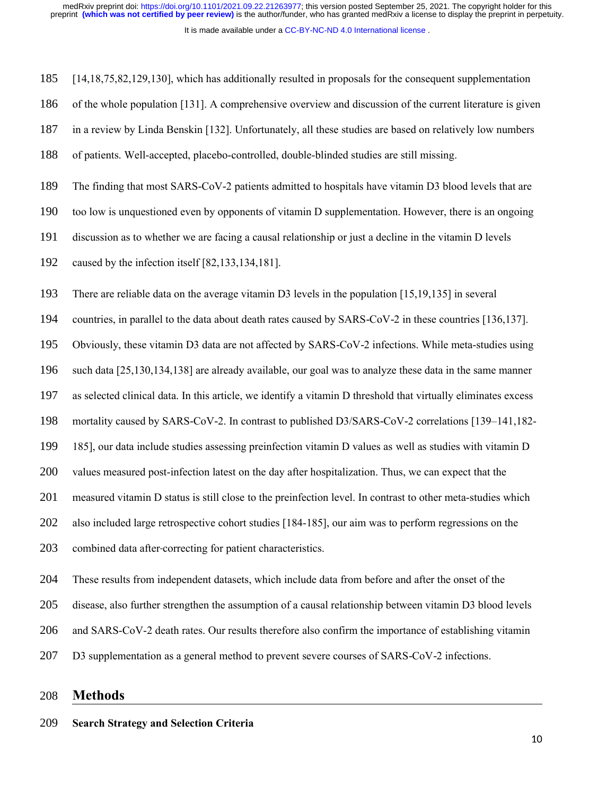It is made available under a [CC-BY-NC-ND 4.0 International license](http://creativecommons.org/licenses/by-nc-nd/4.0/) .

[14,18,75,82,129,130], which has additionally resulted in proposals for the consequent supplementation 185

of the whole population [131]. A comprehensive overview and discussion of the current literature is given 186

in a review by Linda Benskin [132]. Unfortunately, all these studies are based on relatively low numbers 187

of patients. Well-accepted, placebo-controlled, double-blinded studies are still missing. 188

The finding that most SARS-CoV-2 patients admitted to hospitals have vitamin D3 blood levels that are 189

too low is unquestioned even by opponents of vitamin D supplementation. However, there is an ongoing 190

discussion as to whether we are facing a causal relationship or just a decline in the vitamin D levels 191

caused by the infection itself [82,133,134,181]. 192

There are reliable data on the average vitamin D3 levels in the population [15,19,135] in several 193

countries, in parallel to the data about death rates caused by SARS-CoV-2 in these countries [136,137]. 194

Obviously, these vitamin D3 data are not affected by SARS-CoV-2 infections. While meta-studies using 195

such data [25,130,134,138] are already available, our goal was to analyze these data in the same manner 196

as selected clinical data. In this article, we identify a vitamin D threshold that virtually eliminates excess 197

mortality caused by SARS-CoV-2. In contrast to published  $D3/SARS$ -CoV-2 correlations  $[139-141,182-$ 198

185], our data include studies assessing preinfection vitamin D values as well as studies with vitamin D 199

values measured post-infection latest on the day after hospitalization. Thus, we can expect that the 200

measured vitamin D status is still close to the preinfection level. In contrast to other meta-studies which 201

also included large retrospective cohort studies [184-185], our aim was to perform regressions on the 202

combined data after correcting for patient characteristics. 203

These results from independent datasets, which include data from before and after the onset of the 204

disease, also further strengthen the assumption of a causal relationship between vitamin D3 blood levels 205

and SARS-CoV-2 death rates. Our results therefore also confirm the importance of establishing vitamin 206

D3 supplementation as a general method to prevent severe courses of SARS-CoV-2 infections. 207

#### **Methods** 208

#### **Search Strategy and Selection Criteria** 209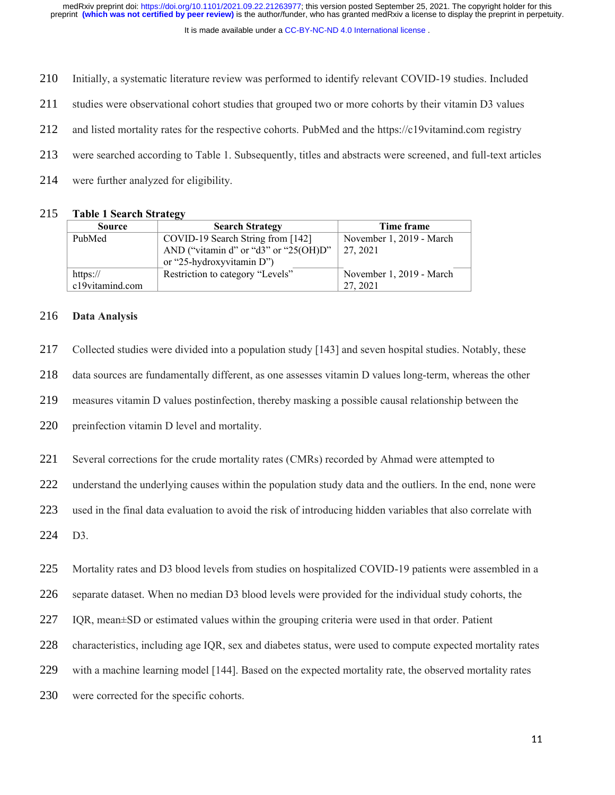It is made available under a [CC-BY-NC-ND 4.0 International license](http://creativecommons.org/licenses/by-nc-nd/4.0/) .

Initially, a systematic literature review was performed to identify relevant COVID-19 studies. Included 210

studies were observational cohort studies that grouped two or more cohorts by their vitamin D3 values 211

and listed mortality rates for the respective cohorts. PubMed and the https://c19vitamind.com registry 212

were searched according to Table 1. Subsequently, titles and abstracts were screened, and full-text articles 213

were further analyzed for eligibility. 214

#### **Table 1 Search Strategy** 215

| <b>Source</b>   | <b>Search Strategy</b>                | Time frame               |
|-----------------|---------------------------------------|--------------------------|
| PubMed          | COVID-19 Search String from [142]     | November 1, 2019 - March |
|                 | AND ("vitamin d" or "d3" or "25(OH)D" | 27, 2021                 |
|                 | or "25-hydroxyvitamin D")             |                          |
| https://        | Restriction to category "Levels"      | November 1, 2019 - March |
| c19vitamind.com |                                       | 27, 2021                 |

#### **Data Analysis** 216

Collected studies were divided into a population study [143] and seven hospital studies. Notably, these 217

data sources are fundamentally different, as one assesses vitamin D values long-term, whereas the other 218

measures vitamin D values postinfection, thereby masking a possible causal relationship between the 219

preinfection vitamin D level and mortality. 220

Several corrections for the crude mortality rates (CMRs) recorded by Ahmad were attempted to 221

understand the underlying causes within the population study data and the outliers. In the end, none were 222

used in the final data evaluation to avoid the risk of introducing hidden variables that also correlate with 223

D3. 224

Mortality rates and D3 blood levels from studies on hospitalized COVID-19 patients were assembled in a 225

separate dataset. When no median D3 blood levels were provided for the individual study cohorts, the 226

IQR, mean±SD or estimated values within the grouping criteria were used in that order. Patient 227

characteristics, including age IQR, sex and diabetes status, were used to compute expected mortality rates 228

with a machine learning model [144]. Based on the expected mortality rate, the observed mortality rates 229

were corrected for the specific cohorts. 230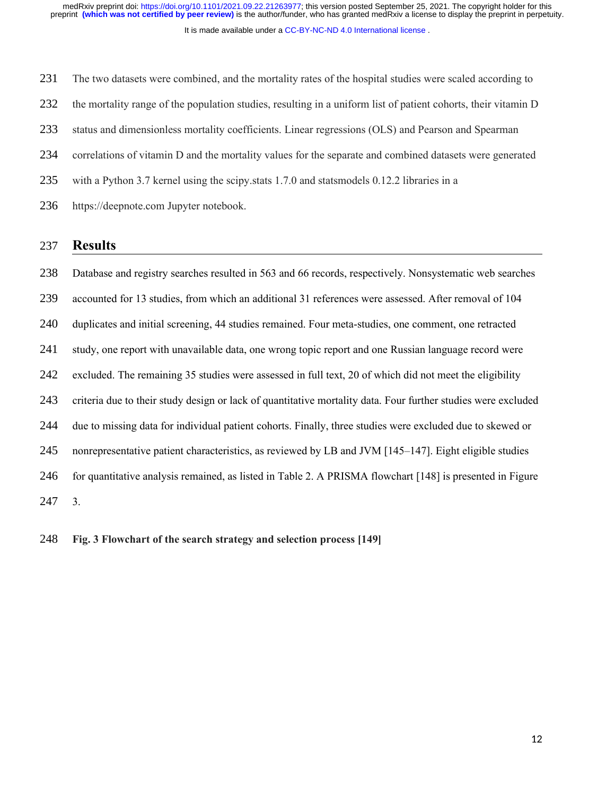It is made available under a [CC-BY-NC-ND 4.0 International license](http://creativecommons.org/licenses/by-nc-nd/4.0/) . preprint **(which was not certified by peer review)** is the author/funder, who has granted medRxiv a license to display the preprint in perpetuity. medRxiv preprint doi: [https://doi.org/10.1101/2021.09.22.21263977;](https://doi.org/10.1101/2021.09.22.21263977) this version posted September 25, 2021. The copyright holder for this

The two datasets were combined, and the mortality rates of the hospital studies were scaled according to the mortality range of the population studies, resulting in a uniform list of patient cohorts, their vitamin D status and dimensionless mortality coefficients. Linear regressions (OLS) and Pearson and Spearman correlations of vitamin D and the mortality values for the separate and combined datasets were generated with a Python 3.7 kernel using the scipy.stats 1.7.0 and statsmodels 0.12.2 libraries in a https://deepnote.com Jupyter notebook. 231 232 233 234 235 236

#### **Results** 237

Database and registry searches resulted in 563 and 66 records, respectively. Nonsystematic web searches accounted for 13 studies, from which an additional 31 references were assessed. After removal of 104 duplicates and initial screening, 44 studies remained. Four meta-studies, one comment, one retracted study, one report with unavailable data, one wrong topic report and one Russian language record were excluded. The remaining 35 studies were assessed in full text, 20 of which did not meet the eligibility criteria due to their study design or lack of quantitative mortality data. Four further studies were excluded due to missing data for individual patient cohorts. Finally, three studies were excluded due to skewed or nonrepresentative patient characteristics, as reviewed by LB and JVM [145–147]. Eight eligible studies for quantitative analysis remained, as listed in Table 2. A PRISMA flowchart [148] is presented in Figure 3. 238 239 240 241 242 243 244 245 246 247

**Fig. 3 Flowchart of the search strategy and selection process [149]** 248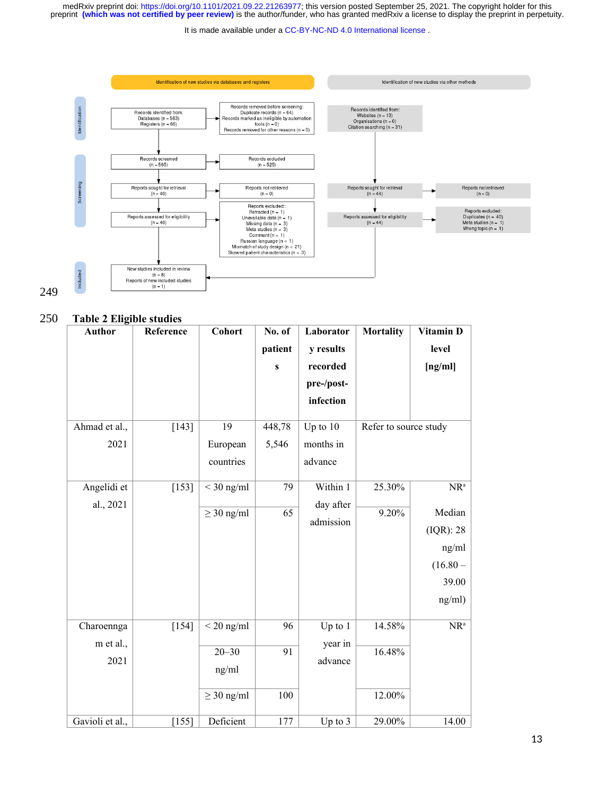medRxiv preprint doi: [https://doi.org/10.1101/2021.09.22.21263977;](https://doi.org/10.1101/2021.09.22.21263977) this version posted September 25, 2021. The copyright holder for this<br>preprint (which was not certified by peer review) is the author/funder, who has grant

It is made available under a [CC-BY-NC-ND 4.0 International license](http://creativecommons.org/licenses/by-nc-nd/4.0/) .



# 249

#### **Table 2 Eligible studies** 250

| <b>Author</b>   | Reference | Cohort          | No. of       | Laborator  | <b>Mortality</b>      | Vitamin D  |
|-----------------|-----------|-----------------|--------------|------------|-----------------------|------------|
|                 |           |                 | patient      | y results  |                       | level      |
|                 |           |                 | $\mathbf{s}$ | recorded   |                       | [ng/ml]    |
|                 |           |                 |              | pre-/post- |                       |            |
|                 |           |                 |              | infection  |                       |            |
|                 |           |                 |              |            |                       |            |
| Ahmad et al.,   | $[143]$   | 19              | 448,78       | Up to $10$ | Refer to source study |            |
| 2021            |           | European        | 5,546        | months in  |                       |            |
|                 |           | countries       |              | advance    |                       |            |
|                 |           |                 |              |            |                       |            |
| Angelidi et     | $[153]$   | $<$ 30 ng/ml    | 79           | Within 1   | 25.30%                | $NR^a$     |
| al., 2021       |           | $\geq$ 30 ng/ml | 65           | day after  | 9.20%                 | Median     |
|                 |           |                 |              | admission  |                       | (IQR): 28  |
|                 |           |                 |              |            |                       | ng/ml      |
|                 |           |                 |              |            |                       |            |
|                 |           |                 |              |            |                       | $(16.80 -$ |
|                 |           |                 |              |            |                       | 39.00      |
|                 |           |                 |              |            |                       | ng/ml)     |
| Charoennga      | $[154]$   | $<$ 20 ng/ml    | 96           | Up to $1$  | 14.58%                | $NR^a$     |
| m et al.,       |           |                 |              | year in    |                       |            |
|                 |           | $20 - 30$       | 91           |            | 16.48%                |            |
| 2021            |           | ng/ml           |              | advance    |                       |            |
|                 |           | $\geq$ 30 ng/ml | 100          |            | 12.00%                |            |
| Gavioli et al., | [155]     | Deficient       | 177          | Up to $3$  | 29.00%                | 14.00      |
|                 |           |                 |              |            |                       |            |

13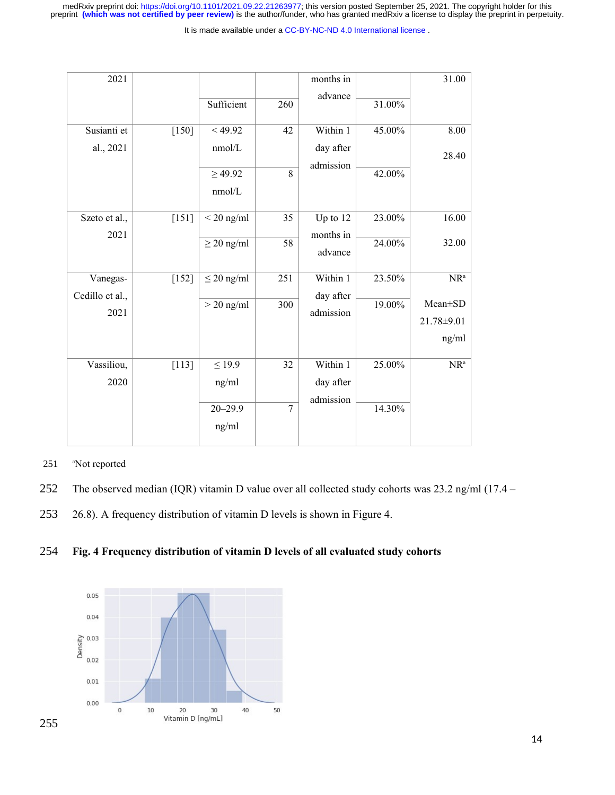medRxiv preprint doi: [https://doi.org/10.1101/2021.09.22.21263977;](https://doi.org/10.1101/2021.09.22.21263977) this version posted September 25, 2021. The copyright holder for this<br>preprint (which was not certified by peer review) is the author/funder, who has grant

It is made available under a [CC-BY-NC-ND 4.0 International license](http://creativecommons.org/licenses/by-nc-nd/4.0/) .

| 2021                        |         |                 |                | months in<br>advance  |        | 31.00      |
|-----------------------------|---------|-----------------|----------------|-----------------------|--------|------------|
|                             |         | Sufficient      | 260            |                       | 31.00% |            |
| Susianti et                 | $[150]$ | < 49.92         | 42             | Within 1              | 45.00% | 8.00       |
| al., 2021                   |         | nmol/L          |                | day after             |        | 28.40      |
|                             |         | $\geq 49.92$    | 8              | admission             | 42.00% |            |
|                             |         | nmol/L          |                |                       |        |            |
| Szeto et al.,               | $[151]$ | $<$ 20 ng/ml    | 35             | Up to 12              | 23.00% | 16.00      |
| 2021                        |         | $\geq$ 20 ng/ml | 58             | months in<br>advance  | 24.00% | 32.00      |
| Vanegas-<br>Cedillo et al., | $[152]$ | $\leq$ 20 ng/ml | 251            | Within 1<br>day after | 23.50% | $NR^a$     |
| 2021                        |         | $>$ 20 ng/ml    | 300            | admission             | 19.00% | Mean±SD    |
|                             |         |                 |                |                       |        | 21.78±9.01 |
|                             |         |                 |                |                       |        | ng/ml      |
| Vassiliou,                  | $[113]$ | $\leq 19.9$     | 32             | Within 1              | 25.00% | $NR^a$     |
| 2020                        |         | ng/ml           |                | day after             |        |            |
|                             |         | $20 - 29.9$     | $\overline{7}$ | admission             | 14.30% |            |
|                             |         | ng/ml           |                |                       |        |            |

- <sup>a</sup>Not reported 251
- The observed median (IQR) vitamin D value over all collected study cohorts was 23.2 ng/ml (17.4 252
- 26.8). A frequency distribution of vitamin D levels is shown in Figure 4. 253

## **Fig. 4 Frequency distribution of vitamin D levels of all evaluated study cohorts** 254

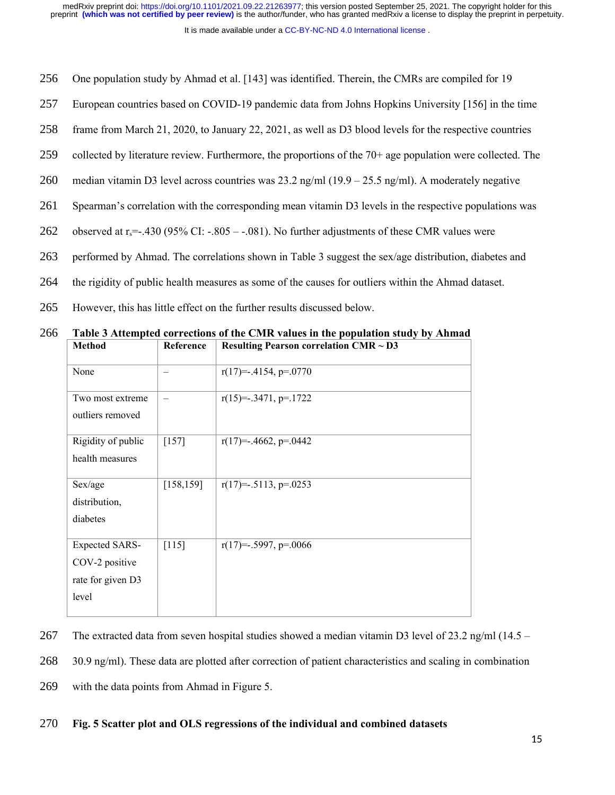It is made available under a [CC-BY-NC-ND 4.0 International license](http://creativecommons.org/licenses/by-nc-nd/4.0/) .

- One population study by Ahmad et al. [143] was identified. Therein, the CMRs are compiled for 19 256
- European countries based on COVID-19 pandemic data from Johns Hopkins University [156] in the time 257
- frame from March 21, 2020, to January 22, 2021, as well as D3 blood levels for the respective countries 258
- collected by literature review. Furthermore, the proportions of the 70+ age population were collected. The 259
- median vitamin D3 level across countries was  $23.2$  ng/ml (19.9 25.5 ng/ml). A moderately negative 260
- Spearman's correlation with the corresponding mean vitamin D3 levels in the respective populations was 261
- observed at  $r_s$ =-.430 (95% CI: -.805 -.081). No further adjustments of these CMR values were 262
- performed by Ahmad. The correlations shown in Table 3 suggest the sex/age distribution, diabetes and 263
- the rigidity of public health measures as some of the causes for outliers within the Ahmad dataset. 264
- However, this has little effect on the further results discussed below. 265

| <b>Method</b>                                                         | Reference                | <b>Resulting Pearson correlation CMR <math>\sim</math> D3</b> |
|-----------------------------------------------------------------------|--------------------------|---------------------------------------------------------------|
| None                                                                  | —                        | $r(17)=-.4154, p=.0770$                                       |
| Two most extreme<br>outliers removed                                  | $\overline{\phantom{0}}$ | $r(15)=3471, p=.1722$                                         |
| Rigidity of public<br>health measures                                 | $[157]$                  | $r(17)=-.4662, p=.0442$                                       |
| Sex/age<br>distribution,<br>diabetes                                  | [158, 159]               | $r(17) = -0.5113$ , p= 0.0253                                 |
| <b>Expected SARS-</b><br>COV-2 positive<br>rate for given D3<br>level | $[115]$                  | $r(17) = -.5997, p = .0066$                                   |

**Table 3 Attempted corrections of the CMR values in the population study by Ahmad** 266

The extracted data from seven hospital studies showed a median vitamin D3 level of 23.2 ng/ml (14.5 – 267

30.9 ng/ml). These data are plotted after correction of patient characteristics and scaling in combination 268

with the data points from Ahmad in Figure 5. 269

#### **Fig. 5 Scatter plot and OLS regressions of the individual and combined datasets** 270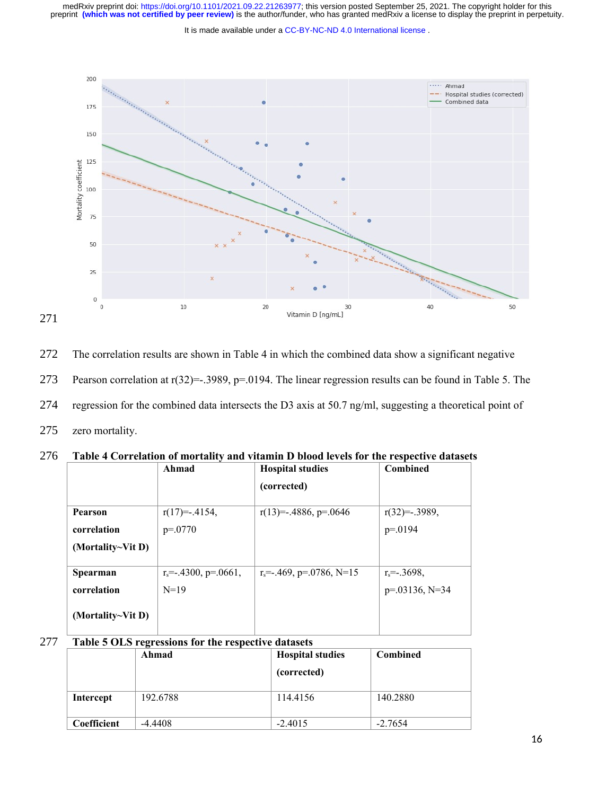medRxiv preprint doi: [https://doi.org/10.1101/2021.09.22.21263977;](https://doi.org/10.1101/2021.09.22.21263977) this version posted September 25, 2021. The copyright holder for this<br>preprint (which was not certified by peer review) is the author/funder, who has grant

It is made available under a CC-BY-NC-ND 4.0 International license.



The correlation results are shown in Table 4 in which the combined data show a significant negative Pearson correlation at r(32)=-.3989, p=.0194. The linear regression results can be found in Table 5. The regression for the combined data intersects the D3 axis at 50.7 ng/ml, suggesting a theoretical point of zero mortality. 272 273 274 275

| 276 Table 4 Correlation of mortality and vitamin D blood levels for the respective datasets |  |  |
|---------------------------------------------------------------------------------------------|--|--|
|                                                                                             |  |  |

|                   | Ahmad                         | <b>Hospital studies</b>               | Combined          |
|-------------------|-------------------------------|---------------------------------------|-------------------|
|                   |                               | (corrected)                           |                   |
| Pearson           | $r(17)= -0.4154,$             | $r(13) = -0.4886$ , p= 0646           | $r(32) = .3989,$  |
| correlation       | $p=.0770$                     |                                       | $p = 0194$        |
| (Mortality~Vit D) |                               |                                       |                   |
| Spearman          | $r_s = .4300$ , $p = .0661$ , | $r_s = .469$ , $p = .0786$ , $N = 15$ | $r_s = -0.3698$ , |
| correlation       | $N=19$                        |                                       | $p=.03136, N=34$  |
| (Mortality~Vit D) |                               |                                       |                   |

#### **Table 5 OLS regressions for the respective datasets** 277

|             | Ahmad    | <b>Hospital studies</b><br>(corrected) | <b>Combined</b> |
|-------------|----------|----------------------------------------|-----------------|
| Intercept   | 192.6788 | 114.4156                               | 140.2880        |
| Coefficient | -4.4408  | $-2.4015$                              | $-2.7654$       |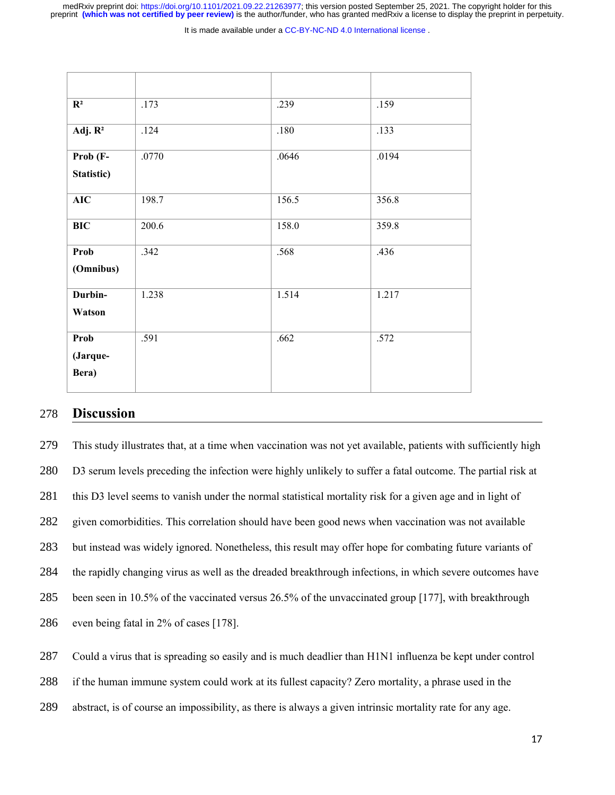It is made available under a CC-BY-NC-ND 4.0 International license.

| $\mathbf{R}^2$            | .173  | .239  | .159  |
|---------------------------|-------|-------|-------|
| Adj. $R^2$                | .124  | .180  | .133  |
| Prob (F-<br>Statistic)    | .0770 | .0646 | .0194 |
| AIC                       | 198.7 | 156.5 | 356.8 |
| <b>BIC</b>                | 200.6 | 158.0 | 359.8 |
| Prob<br>(Omnibus)         | .342  | .568  | .436  |
| Durbin-<br>Watson         | 1.238 | 1.514 | 1.217 |
| Prob<br>(Jarque-<br>Bera) | .591  | .662  | .572  |

## **Discussion** 278

This study illustrates that, at a time when vaccination was not yet available, patients with sufficiently high D3 serum levels preceding the infection were highly unlikely to suffer a fatal outcome. The partial risk at this D3 level seems to vanish under the normal statistical mortality risk for a given age and in light of given comorbidities. This correlation should have been good news when vaccination was not available but instead was widely ignored. Nonetheless, this result may offer hope for combating future variants of the rapidly changing virus as well as the dreaded breakthrough infections, in which severe outcomes have been seen in 10.5% of the vaccinated versus 26.5% of the unvaccinated group [177], with breakthrough even being fatal in 2% of cases [178]. 279 280 281 282 283 284 285 286

Could a virus that is spreading so easily and is much deadlier than H1N1 influenza be kept under control 287

if the human immune system could work at its fullest capacity? Zero mortality, a phrase used in the 288

abstract, is of course an impossibility, as there is always a given intrinsic mortality rate for any age. 289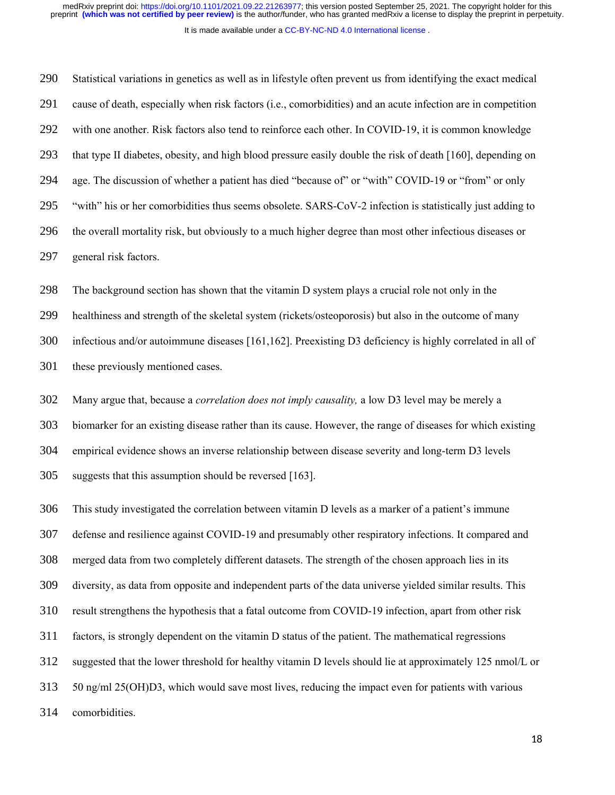It is made available under a [CC-BY-NC-ND 4.0 International license](http://creativecommons.org/licenses/by-nc-nd/4.0/) .

Statistical variations in genetics as well as in lifestyle often prevent us from identifying the exact medical cause of death, especially when risk factors (i.e., comorbidities) and an acute infection are in competition with one another. Risk factors also tend to reinforce each other. In COVID-19, it is common knowledge that type II diabetes, obesity, and high blood pressure easily double the risk of death [160], depending on age. The discussion of whether a patient has died "because of" or "with" COVID-19 or "from" or only "with" his or her comorbidities thus seems obsolete. SARS-CoV-2 infection is statistically just adding to the overall mortality risk, but obviously to a much higher degree than most other infectious diseases or general risk factors. 290 291 292 293 294 295 296 297

The background section has shown that the vitamin D system plays a crucial role not only in the healthiness and strength of the skeletal system (rickets/osteoporosis) but also in the outcome of many infectious and/or autoimmune diseases [161,162]. Preexisting D3 deficiency is highly correlated in all of these previously mentioned cases. 298 299 300 301

Many argue that, because a *correlation does not imply causality,* a low D3 level may be merely a biomarker for an existing disease rather than its cause. However, the range of diseases for which existing empirical evidence shows an inverse relationship between disease severity and long-term D3 levels suggests that this assumption should be reversed [163]. 302 303 304 305

This study investigated the correlation between vitamin D levels as a marker of a patient's immune defense and resilience against COVID-19 and presumably other respiratory infections. It compared and merged data from two completely different datasets. The strength of the chosen approach lies in its diversity, as data from opposite and independent parts of the data universe yielded similar results. This result strengthens the hypothesis that a fatal outcome from COVID-19 infection, apart from other risk factors, is strongly dependent on the vitamin D status of the patient. The mathematical regressions suggested that the lower threshold for healthy vitamin D levels should lie at approximately 125 nmol/L or 50 ng/ml 25(OH)D3, which would save most lives, reducing the impact even for patients with various comorbidities. 306 307 308 309 310 311 312 313 314

18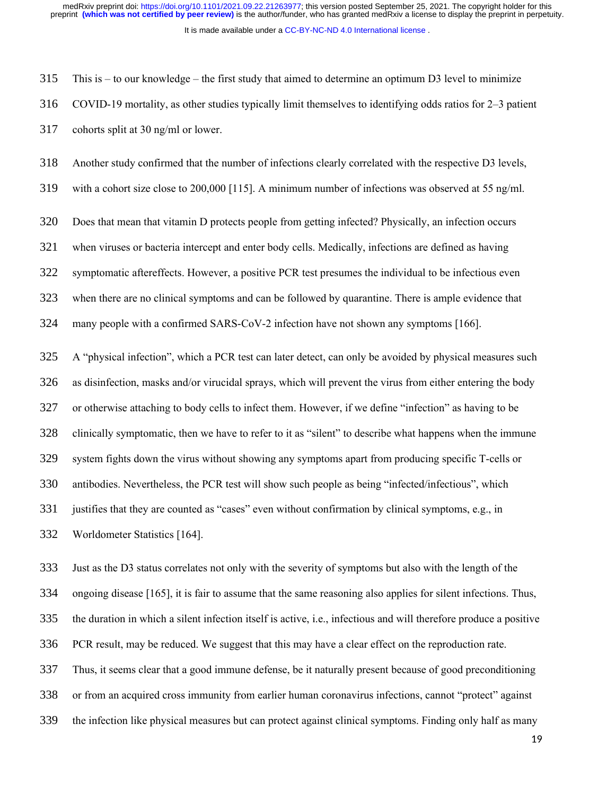It is made available under a [CC-BY-NC-ND 4.0 International license](http://creativecommons.org/licenses/by-nc-nd/4.0/) .

This is – to our knowledge – the first study that aimed to determine an optimum D3 level to minimize COVID-19 mortality, as other studies typically limit themselves to identifying odds ratios for 2–3 patient cohorts split at 30 ng/ml or lower. 315 316 317

Another study confirmed that the number of infections clearly correlated with the respective D3 levels, 318

with a cohort size close to 200,000 [115]. A minimum number of infections was observed at 55 ng/ml. 319

Does that mean that vitamin D protects people from getting infected? Physically, an infection occurs 320

when viruses or bacteria intercept and enter body cells. Medically, infections are defined as having 321

symptomatic aftereffects. However, a positive PCR test presumes the individual to be infectious even 322

when there are no clinical symptoms and can be followed by quarantine. There is ample evidence that 323

many people with a confirmed SARS-CoV-2 infection have not shown any symptoms [166]. 324

A "physical infection", which a PCR test can later detect, can only be avoided by physical measures such as disinfection, masks and/or virucidal sprays, which will prevent the virus from either entering the body or otherwise attaching to body cells to infect them. However, if we define "infection" as having to be clinically symptomatic, then we have to refer to it as "silent" to describe what happens when the immune system fights down the virus without showing any symptoms apart from producing specific T-cells or antibodies. Nevertheless, the PCR test will show such people as being "infected/infectious", which justifies that they are counted as "cases" even without confirmation by clinical symptoms, e.g., in Worldometer Statistics [164]. 325 326 327 328 329 330 331 332

Just as the D3 status correlates not only with the severity of symptoms but also with the length of the ongoing disease [165], it is fair to assume that the same reasoning also applies for silent infections. Thus, the duration in which a silent infection itself is active, i.e., infectious and will therefore produce a positive PCR result, may be reduced. We suggest that this may have a clear effect on the reproduction rate. Thus, it seems clear that a good immune defense, be it naturally present because of good preconditioning 333 334 335 336 337

or from an acquired cross immunity from earlier human coronavirus infections, cannot "protect" against 338

the infection like physical measures but can protect against clinical symptoms. Finding only half as many 339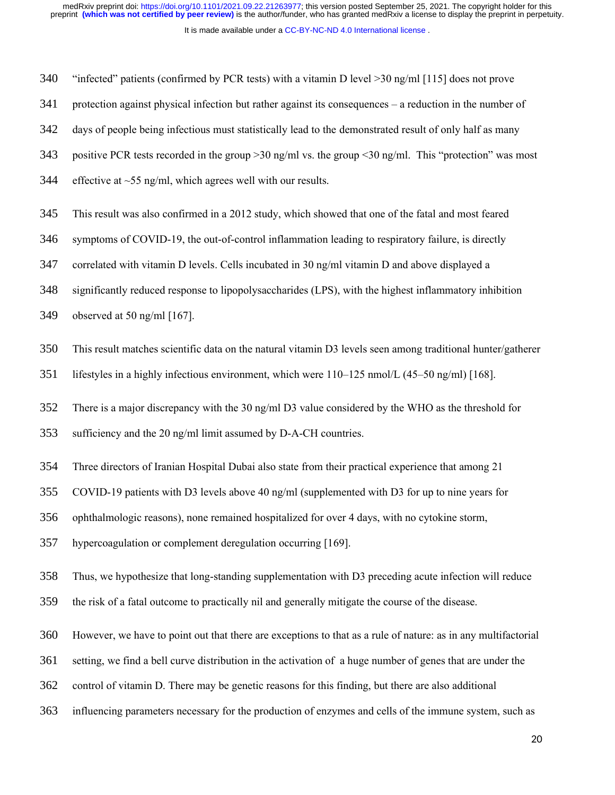It is made available under a [CC-BY-NC-ND 4.0 International license](http://creativecommons.org/licenses/by-nc-nd/4.0/) .

"infected" patients (confirmed by PCR tests) with a vitamin D level >30 ng/ml [115] does not prove 340

protection against physical infection but rather against its consequences – a reduction in the number of 341

days of people being infectious must statistically lead to the demonstrated result of only half as many 342

positive PCR tests recorded in the group >30 ng/ml vs. the group <30 ng/ml. This "protection" was most 343

- effective at  $\sim$ 55 ng/ml, which agrees well with our results. 344
- This result was also confirmed in a 2012 study, which showed that one of the fatal and most feared 345

symptoms of COVID-19, the out-of-control inflammation leading to respiratory failure, is directly 346

correlated with vitamin D levels. Cells incubated in 30 ng/ml vitamin D and above displayed a 347

significantly reduced response to lipopolysaccharides (LPS), with the highest inflammatory inhibition 348

observed at 50 ng/ml [167]. 349

This result matches scientific data on the natural vitamin D3 levels seen among traditional hunter/gatherer 350

lifestyles in a highly infectious environment, which were 110–125 nmol/L (45–50 ng/ml) [168]. 351

There is a major discrepancy with the 30 ng/ml D3 value considered by the WHO as the threshold for 352

sufficiency and the 20 ng/ml limit assumed by D-A-CH countries. 353

Three directors of Iranian Hospital Dubai also state from their practical experience that among 21 354

COVID-19 patients with D3 levels above 40 ng/ml (supplemented with D3 for up to nine years for 355

ophthalmologic reasons), none remained hospitalized for over 4 days, with no cytokine storm, 356

hypercoagulation or complement deregulation occurring [169]. 357

Thus, we hypothesize that long-standing supplementation with D3 preceding acute infection will reduce 358

the risk of a fatal outcome to practically nil and generally mitigate the course of the disease. 359

However, we have to point out that there are exceptions to that as a rule of nature: as in any multifactorial 360

setting, we find a bell curve distribution in the activation of a huge number of genes that are under the 361

- control of vitamin D. There may be genetic reasons for this finding, but there are also additional 362
- influencing parameters necessary for the production of enzymes and cells of the immune system, such as 363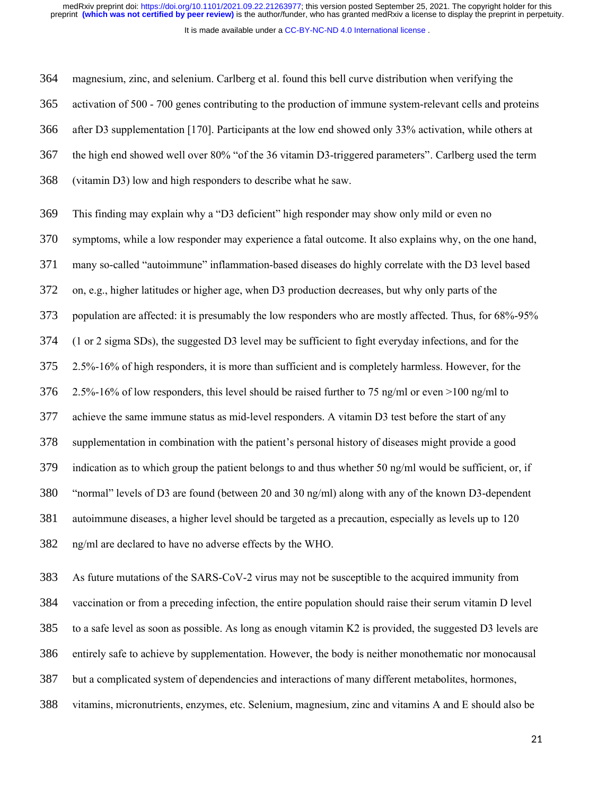It is made available under a [CC-BY-NC-ND 4.0 International license](http://creativecommons.org/licenses/by-nc-nd/4.0/) .

magnesium, zinc, and selenium. Carlberg et al. found this bell curve distribution when verifying the activation of 500 - 700 genes contributing to the production of immune system-relevant cells and proteins after D3 supplementation [170]. Participants at the low end showed only 33% activation, while others at the high end showed well over 80% "of the 36 vitamin D3-triggered parameters". Carlberg used the term (vitamin D3) low and high responders to describe what he saw. 364 365 366 367 368

This finding may explain why a "D3 deficient" high responder may show only mild or even no symptoms, while a low responder may experience a fatal outcome. It also explains why, on the one hand, many so-called "autoimmune" inflammation-based diseases do highly correlate with the D3 level based on, e.g., higher latitudes or higher age, when D3 production decreases, but why only parts of the population are affected: it is presumably the low responders who are mostly affected. Thus, for 68%-95% (1 or 2 sigma SDs), the suggested D3 level may be sufficient to fight everyday infections, and for the 2.5%-16% of high responders, it is more than sufficient and is completely harmless. However, for the 2.5%-16% of low responders, this level should be raised further to 75 ng/ml or even >100 ng/ml to achieve the same immune status as mid-level responders. A vitamin D3 test before the start of any supplementation in combination with the patient's personal history of diseases might provide a good indication as to which group the patient belongs to and thus whether 50 ng/ml would be sufficient, or, if "normal" levels of D3 are found (between 20 and 30 ng/ml) along with any of the known D3-dependent autoimmune diseases, a higher level should be targeted as a precaution, especially as levels up to 120 ng/ml are declared to have no adverse effects by the WHO. 369 370 371 372 373 374 375 376 377 378 379 380 381 382

As future mutations of the SARS-CoV-2 virus may not be susceptible to the acquired immunity from vaccination or from a preceding infection, the entire population should raise their serum vitamin D level to a safe level as soon as possible. As long as enough vitamin K2 is provided, the suggested D3 levels are entirely safe to achieve by supplementation. However, the body is neither monothematic nor monocausal but a complicated system of dependencies and interactions of many different metabolites, hormones, vitamins, micronutrients, enzymes, etc. Selenium, magnesium, zinc and vitamins A and E should also be 383 384 385 386 387 388

21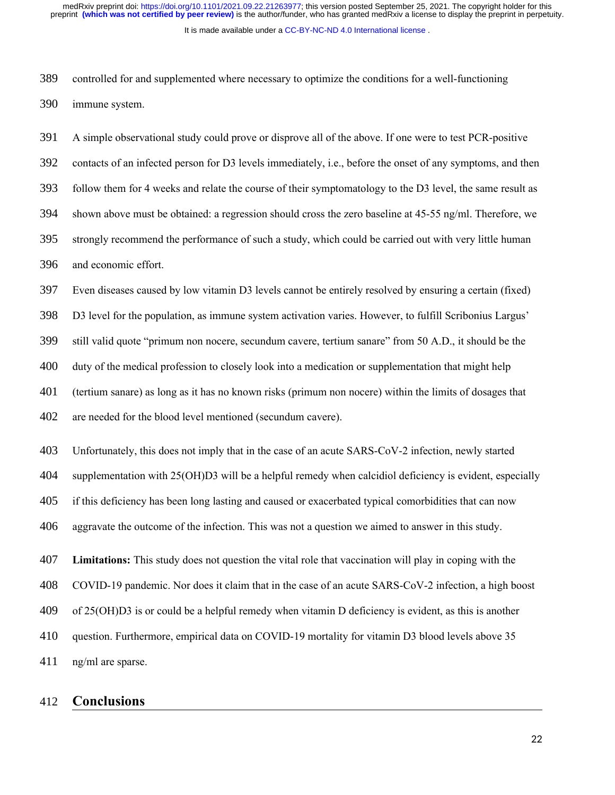It is made available under a [CC-BY-NC-ND 4.0 International license](http://creativecommons.org/licenses/by-nc-nd/4.0/) .

controlled for and supplemented where necessary to optimize the conditions for a well-functioning immune system. 389 390

A simple observational study could prove or disprove all of the above. If one were to test PCR-positive contacts of an infected person for D3 levels immediately, i.e., before the onset of any symptoms, and then follow them for 4 weeks and relate the course of their symptomatology to the D3 level, the same result as shown above must be obtained: a regression should cross the zero baseline at 45-55 ng/ml. Therefore, we strongly recommend the performance of such a study, which could be carried out with very little human and economic effort. 391 392 393 394 395 396

Even diseases caused by low vitamin D3 levels cannot be entirely resolved by ensuring a certain (fixed) D3 level for the population, as immune system activation varies. However, to fulfill Scribonius Largus' still valid quote "primum non nocere, secundum cavere, tertium sanare" from 50 A.D., it should be the duty of the medical profession to closely look into a medication or supplementation that might help (tertium sanare) as long as it has no known risks (primum non nocere) within the limits of dosages that are needed for the blood level mentioned (secundum cavere). 397 398 399 400 401 402

Unfortunately, this does not imply that in the case of an acute SARS-CoV-2 infection, newly started supplementation with 25(OH)D3 will be a helpful remedy when calcidiol deficiency is evident, especially if this deficiency has been long lasting and caused or exacerbated typical comorbidities that can now aggravate the outcome of the infection. This was not a question we aimed to answer in this study. 403 404 405 406

**Limitations:** This study does not question the vital role that vaccination will play in coping with the 407

COVID-19 pandemic. Nor does it claim that in the case of an acute SARS-CoV-2 infection, a high boost 408

of 25(OH)D3 is or could be a helpful remedy when vitamin D deficiency is evident, as this is another 409

question. Furthermore, empirical data on COVID-19 mortality for vitamin D3 blood levels above 35 410

ng/ml are sparse. 411

## **Conclusions** 412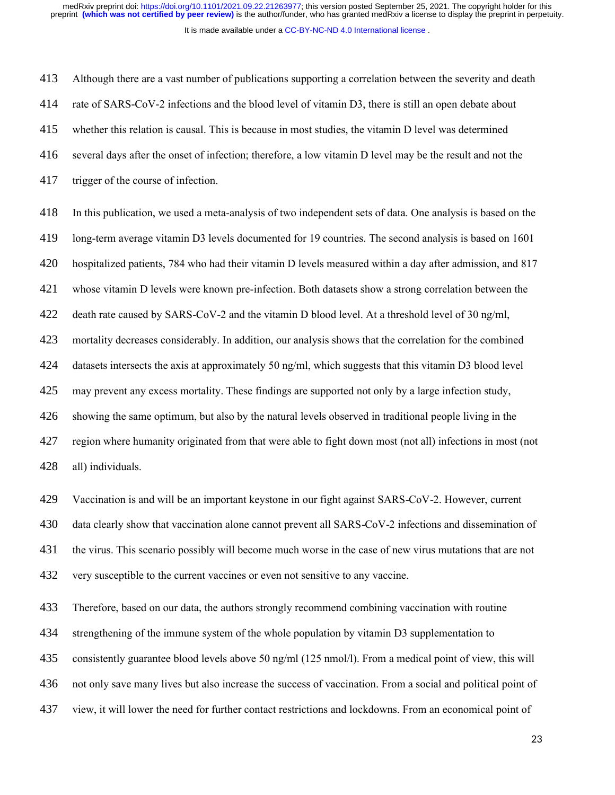It is made available under a [CC-BY-NC-ND 4.0 International license](http://creativecommons.org/licenses/by-nc-nd/4.0/) .

Although there are a vast number of publications supporting a correlation between the severity and death rate of SARS-CoV-2 infections and the blood level of vitamin D3, there is still an open debate about whether this relation is causal. This is because in most studies, the vitamin D level was determined several days after the onset of infection; therefore, a low vitamin D level may be the result and not the trigger of the course of infection. 413 414 415 416 417

In this publication, we used a meta-analysis of two independent sets of data. One analysis is based on the long-term average vitamin D3 levels documented for 19 countries. The second analysis is based on 1601 hospitalized patients, 784 who had their vitamin D levels measured within a day after admission, and 817 whose vitamin D levels were known pre-infection. Both datasets show a strong correlation between the death rate caused by SARS-CoV-2 and the vitamin D blood level. At a threshold level of 30 ng/ml, mortality decreases considerably. In addition, our analysis shows that the correlation for the combined datasets intersects the axis at approximately 50 ng/ml, which suggests that this vitamin D3 blood level may prevent any excess mortality. These findings are supported not only by a large infection study, showing the same optimum, but also by the natural levels observed in traditional people living in the region where humanity originated from that were able to fight down most (not all) infections in most (not all) individuals. 418 419 420 421 422 423 424 425 426 427 428

Vaccination is and will be an important keystone in our fight against SARS-CoV-2. However, current 429

data clearly show that vaccination alone cannot prevent all SARS-CoV-2 infections and dissemination of 430

the virus. This scenario possibly will become much worse in the case of new virus mutations that are not 431

very susceptible to the current vaccines or even not sensitive to any vaccine. 432

Therefore, based on our data, the authors strongly recommend combining vaccination with routine 433

strengthening of the immune system of the whole population by vitamin D3 supplementation to 434

consistently guarantee blood levels above 50 ng/ml (125 nmol/l). From a medical point of view, this will 435

not only save many lives but also increase the success of vaccination. From a social and political point of 436

view, it will lower the need for further contact restrictions and lockdowns. From an economical point of 437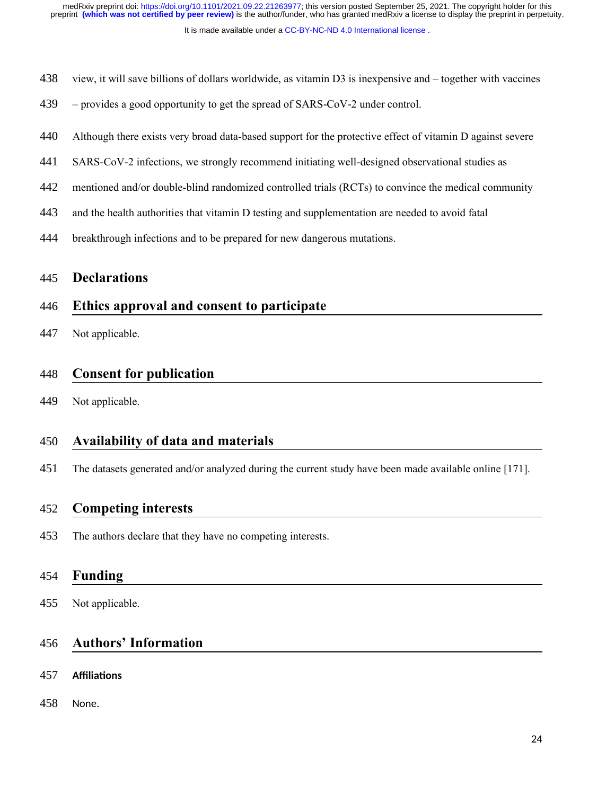It is made available under a [CC-BY-NC-ND 4.0 International license](http://creativecommons.org/licenses/by-nc-nd/4.0/) .

- view, it will save billions of dollars worldwide, as vitamin D3 is inexpensive and together with vaccines 438
- $-$  provides a good opportunity to get the spread of SARS-CoV-2 under control. 439
- Although there exists very broad data-based support for the protective effect of vitamin D against severe 440
- SARS-CoV-2 infections, we strongly recommend initiating well-designed observational studies as 441
- mentioned and/or double-blind randomized controlled trials (RCTs) to convince the medical community 442
- and the health authorities that vitamin D testing and supplementation are needed to avoid fatal 443
- breakthrough infections and to be prepared for new dangerous mutations. 444

## **Declarations** 445

## **Ethics approval and consent to participate** 446

Not applicable. 447

## **Consent for publication** 448

Not applicable. 449

## **Availability of data and materials** 450

The datasets generated and/or analyzed during the current study have been made available online [171]. 451

### **Competing interests** 452

The authors declare that they have no competing interests. 453

## **Funding** 454

Not applicable. 455

# **Authors' Information** 456

- **Affiliations** 457
- None. 458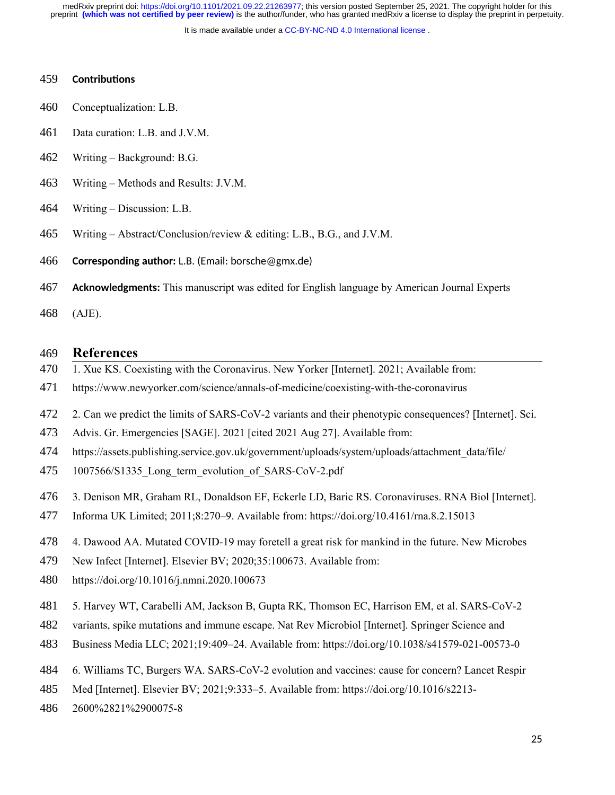It is made available under a [CC-BY-NC-ND 4.0 International license](http://creativecommons.org/licenses/by-nc-nd/4.0/) .

#### **Contributions** 459

- Conceptualization: L.B. 460
- Data curation: L.B. and J.V.M. 461
- Writing Background: B.G. 462
- Writing Methods and Results: J.V.M. 463
- Writing Discussion: L.B. 464
- Writing Abstract/Conclusion/review & editing: L.B., B.G., and J.V.M. 465

**Corresponding author:** L.B. (Email: borsche@gmx.de) 466

- **Acknowledgments:** This manuscript was edited for English language by American Journal Experts 467
- (AJE). 468

#### **References** 469

- 1. Xue KS. Coexisting with the Coronavirus. New Yorker [Internet]. 2021; Available from: 470
- https://www.newyorker.com/science/annals-of-medicine/coexisting-with-the-coronavirus 471
- 2. Can we predict the limits of SARS-CoV-2 variants and their phenotypic consequences? [Internet]. Sci. 472
- Advis. Gr. Emergencies [SAGE]. 2021 [cited 2021 Aug 27]. Available from: 473
- https://assets.publishing.service.gov.uk/government/uploads/system/uploads/attachment\_data/file/ 474
- 1007566/S1335\_Long\_term\_evolution\_of\_SARS-CoV-2.pdf 475
- 3. Denison MR, Graham RL, Donaldson EF, Eckerle LD, Baric RS. Coronaviruses. RNA Biol [Internet]. 476
- Informa UK Limited; 2011;8:270–9. Available from: https://doi.org/10.4161/rna.8.2.15013 477
- 4. Dawood AA. Mutated COVID-19 may foretell a great risk for mankind in the future. New Microbes 478
- New Infect [Internet]. Elsevier BV; 2020;35:100673. Available from: 479
- https://doi.org/10.1016/j.nmni.2020.100673 480
- 5. Harvey WT, Carabelli AM, Jackson B, Gupta RK, Thomson EC, Harrison EM, et al. SARS-CoV-2 481
- variants, spike mutations and immune escape. Nat Rev Microbiol [Internet]. Springer Science and 482
- Business Media LLC; 2021;19:409–24. Available from: https://doi.org/10.1038/s41579-021-00573-0 483
- 6. Williams TC, Burgers WA. SARS-CoV-2 evolution and vaccines: cause for concern? Lancet Respir 484
- Med [Internet]. Elsevier BV; 2021;9:333–5. Available from: https://doi.org/10.1016/s2213- 485
- 2600%2821%2900075-8 486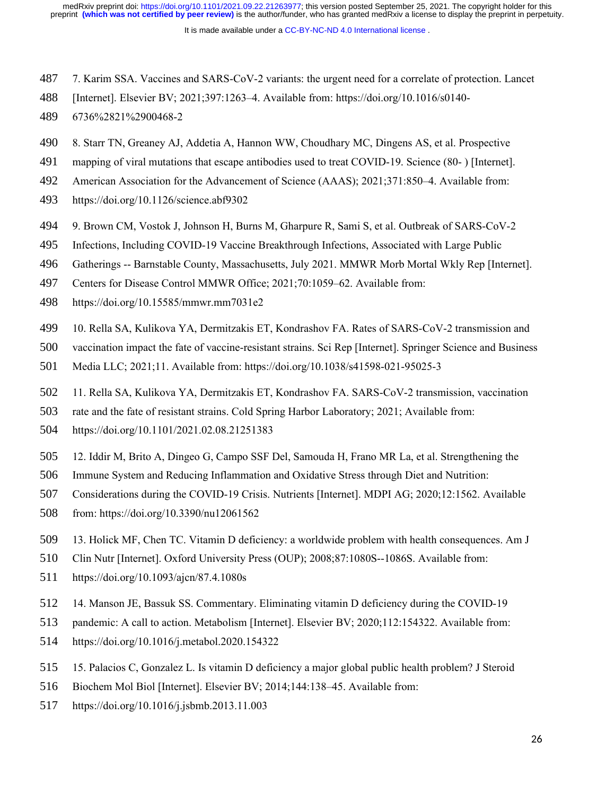- 7. Karim SSA. Vaccines and SARS-CoV-2 variants: the urgent need for a correlate of protection. Lancet 487
- [Internet]. Elsevier BV; 2021;397:1263–4. Available from: https://doi.org/10.1016/s0140- 488
- 6736%2821%2900468-2 489
- 8. Starr TN, Greaney AJ, Addetia A, Hannon WW, Choudhary MC, Dingens AS, et al. Prospective 490
- mapping of viral mutations that escape antibodies used to treat COVID-19. Science (80- ) [Internet]. 491
- American Association for the Advancement of Science (AAAS); 2021;371:850–4. Available from: 492
- https://doi.org/10.1126/science.abf9302 493
- 9. Brown CM, Vostok J, Johnson H, Burns M, Gharpure R, Sami S, et al. Outbreak of SARS-CoV-2 494
- Infections, Including COVID-19 Vaccine Breakthrough Infections, Associated with Large Public 495
- Gatherings -- Barnstable County, Massachusetts, July 2021. MMWR Morb Mortal Wkly Rep [Internet]. 496
- Centers for Disease Control MMWR Office; 2021;70:1059–62. Available from: 497
- https://doi.org/10.15585/mmwr.mm7031e2 498
- 10. Rella SA, Kulikova YA, Dermitzakis ET, Kondrashov FA. Rates of SARS-CoV-2 transmission and 499
- vaccination impact the fate of vaccine-resistant strains. Sci Rep [Internet]. Springer Science and Business 500
- Media LLC; 2021;11. Available from: https://doi.org/10.1038/s41598-021-95025-3 501
- 11. Rella SA, Kulikova YA, Dermitzakis ET, Kondrashov FA. SARS-CoV-2 transmission, vaccination 502
- rate and the fate of resistant strains. Cold Spring Harbor Laboratory; 2021; Available from: 503
- https://doi.org/10.1101/2021.02.08.21251383 504
- 12. Iddir M, Brito A, Dingeo G, Campo SSF Del, Samouda H, Frano MR La, et al. Strengthening the 505
- Immune System and Reducing Inflammation and Oxidative Stress through Diet and Nutrition: 506
- Considerations during the COVID-19 Crisis. Nutrients [Internet]. MDPI AG; 2020;12:1562. Available 507
- from: https://doi.org/10.3390/nu12061562 508
- 13. Holick MF, Chen TC. Vitamin D deficiency: a worldwide problem with health consequences. Am J 509
- Clin Nutr [Internet]. Oxford University Press (OUP); 2008;87:1080S--1086S. Available from: 510
- https://doi.org/10.1093/ajcn/87.4.1080s 511
- 14. Manson JE, Bassuk SS. Commentary. Eliminating vitamin D deficiency during the COVID-19 512
- pandemic: A call to action. Metabolism [Internet]. Elsevier BV; 2020;112:154322. Available from: 513
- https://doi.org/10.1016/j.metabol.2020.154322 514
- 15. Palacios C, Gonzalez L. Is vitamin D deficiency a major global public health problem? J Steroid 515
- Biochem Mol Biol [Internet]. Elsevier BV; 2014;144:138–45. Available from: 516
- https://doi.org/10.1016/j.jsbmb.2013.11.003 517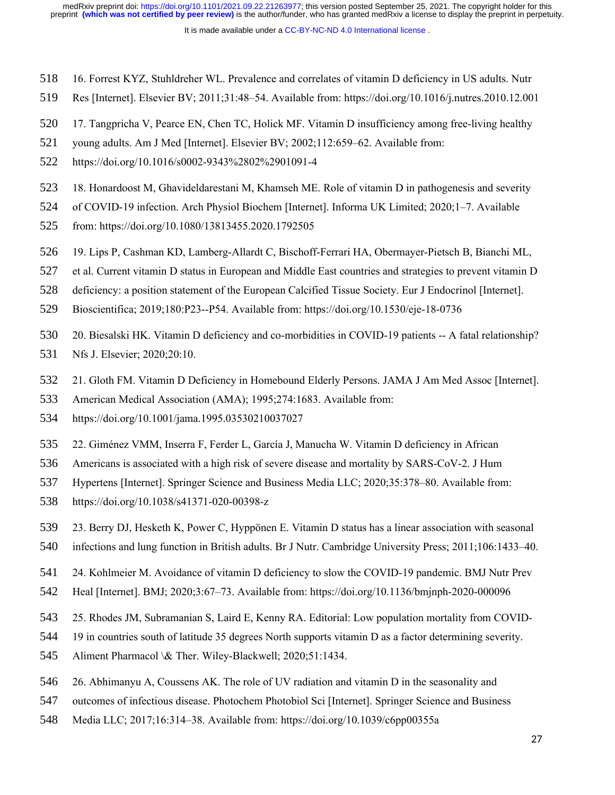- 16. Forrest KYZ, Stuhldreher WL. Prevalence and correlates of vitamin D deficiency in US adults. Nutr 518
- Res [Internet]. Elsevier BV; 2011;31:48–54. Available from: https://doi.org/10.1016/j.nutres.2010.12.001 519
- 17. Tangpricha V, Pearce EN, Chen TC, Holick MF. Vitamin D insufficiency among free-living healthy 520
- young adults. Am J Med [Internet]. Elsevier BV; 2002;112:659–62. Available from: 521
- https://doi.org/10.1016/s0002-9343%2802%2901091-4 522
- 18. Honardoost M, Ghavideldarestani M, Khamseh ME. Role of vitamin D in pathogenesis and severity 523
- of COVID-19 infection. Arch Physiol Biochem [Internet]. Informa UK Limited; 2020;1–7. Available 524
- from: https://doi.org/10.1080/13813455.2020.1792505 525
- 19. Lips P, Cashman KD, Lamberg-Allardt C, Bischoff-Ferrari HA, Obermayer-Pietsch B, Bianchi ML, 526
- et al. Current vitamin D status in European and Middle East countries and strategies to prevent vitamin D 527
- deficiency: a position statement of the European Calcified Tissue Society. Eur J Endocrinol [Internet]. 528
- Bioscientifica; 2019;180:P23--P54. Available from: https://doi.org/10.1530/eje-18-0736 529
- 20. Biesalski HK. Vitamin D deficiency and co-morbidities in COVID-19 patients -- A fatal relationship? 530
- Nfs J. Elsevier; 2020;20:10. 531
- 21. Gloth FM. Vitamin D Deficiency in Homebound Elderly Persons. JAMA J Am Med Assoc [Internet]. 532
- American Medical Association (AMA); 1995;274:1683. Available from: 533
- https://doi.org/10.1001/jama.1995.03530210037027 534
- 22. Giménez VMM, Inserra F, Ferder L, García J, Manucha W. Vitamin D deficiency in African 535
- Americans is associated with a high risk of severe disease and mortality by SARS-CoV-2. J Hum 536
- Hypertens [Internet]. Springer Science and Business Media LLC; 2020;35:378–80. Available from: 537
- https://doi.org/10.1038/s41371-020-00398-z 538
- 23. Berry DJ, Hesketh K, Power C, Hyppönen E. Vitamin D status has a linear association with seasonal 539
- infections and lung function in British adults. Br J Nutr. Cambridge University Press; 2011;106:1433–40. 540
- 24. Kohlmeier M. Avoidance of vitamin D deficiency to slow the COVID-19 pandemic. BMJ Nutr Prev 541
- Heal [Internet]. BMJ; 2020;3:67–73. Available from: https://doi.org/10.1136/bmjnph-2020-000096 542
- 25. Rhodes JM, Subramanian S, Laird E, Kenny RA. Editorial: Low population mortality from COVID-543
- 19 in countries south of latitude 35 degrees North supports vitamin D as a factor determining severity. 544
- Aliment Pharmacol \& Ther. Wiley-Blackwell; 2020;51:1434. 545
- 26. Abhimanyu A, Coussens AK. The role of UV radiation and vitamin D in the seasonality and 546
- outcomes of infectious disease. Photochem Photobiol Sci [Internet]. Springer Science and Business 547
- Media LLC; 2017;16:314–38. Available from: https://doi.org/10.1039/c6pp00355a 548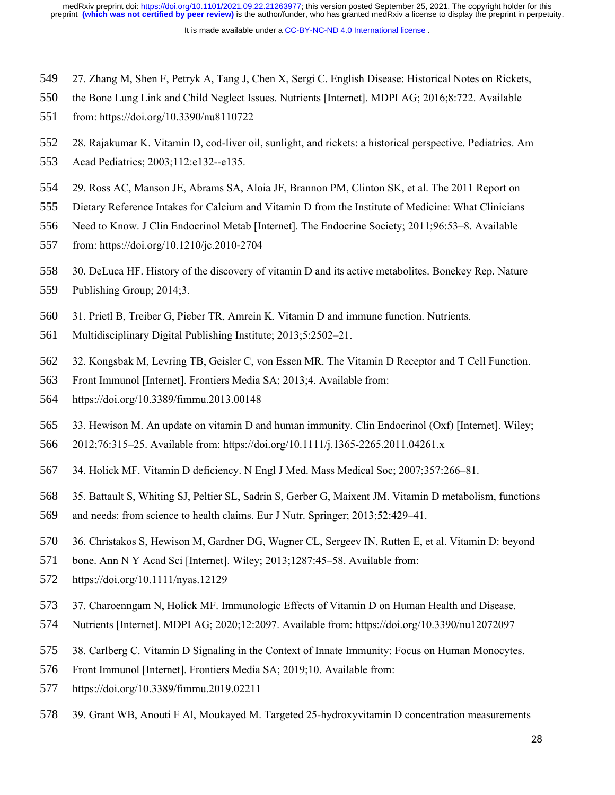- 27. Zhang M, Shen F, Petryk A, Tang J, Chen X, Sergi C. English Disease: Historical Notes on Rickets, 549
- the Bone Lung Link and Child Neglect Issues. Nutrients [Internet]. MDPI AG; 2016;8:722. Available 550
- from: https://doi.org/10.3390/nu8110722 551
- 28. Rajakumar K. Vitamin D, cod-liver oil, sunlight, and rickets: a historical perspective. Pediatrics. Am 552
- Acad Pediatrics; 2003;112:e132--e135. 553
- 29. Ross AC, Manson JE, Abrams SA, Aloia JF, Brannon PM, Clinton SK, et al. The 2011 Report on 554
- Dietary Reference Intakes for Calcium and Vitamin D from the Institute of Medicine: What Clinicians 555
- Need to Know. J Clin Endocrinol Metab [Internet]. The Endocrine Society; 2011;96:53–8. Available 556
- from: https://doi.org/10.1210/jc.2010-2704 557
- 30. DeLuca HF. History of the discovery of vitamin D and its active metabolites. Bonekey Rep. Nature 558
- Publishing Group; 2014;3. 559
- 31. Prietl B, Treiber G, Pieber TR, Amrein K. Vitamin D and immune function. Nutrients. 560
- Multidisciplinary Digital Publishing Institute; 2013;5:2502–21. 561
- 32. Kongsbak M, Levring TB, Geisler C, von Essen MR. The Vitamin D Receptor and T Cell Function. 562
- Front Immunol [Internet]. Frontiers Media SA; 2013;4. Available from: 563
- https://doi.org/10.3389/fimmu.2013.00148 564
- 33. Hewison M. An update on vitamin D and human immunity. Clin Endocrinol (Oxf) [Internet]. Wiley; 565
- 2012;76:315–25. Available from: https://doi.org/10.1111/j.1365-2265.2011.04261.x 566
- 34. Holick MF. Vitamin D deficiency. N Engl J Med. Mass Medical Soc; 2007;357:266–81. 567
- 35. Battault S, Whiting SJ, Peltier SL, Sadrin S, Gerber G, Maixent JM. Vitamin D metabolism, functions 568
- and needs: from science to health claims. Eur J Nutr. Springer; 2013;52:429–41. 569
- 36. Christakos S, Hewison M, Gardner DG, Wagner CL, Sergeev IN, Rutten E, et al. Vitamin D: beyond 570
- bone. Ann N Y Acad Sci [Internet]. Wiley; 2013;1287:45–58. Available from: 571
- https://doi.org/10.1111/nyas.12129 572
- 37. Charoenngam N, Holick MF. Immunologic Effects of Vitamin D on Human Health and Disease. 573
- Nutrients [Internet]. MDPI AG; 2020;12:2097. Available from: https://doi.org/10.3390/nu12072097 574
- 38. Carlberg C. Vitamin D Signaling in the Context of Innate Immunity: Focus on Human Monocytes. 575
- Front Immunol [Internet]. Frontiers Media SA; 2019;10. Available from: 576
- https://doi.org/10.3389/fimmu.2019.02211 577
- 39. Grant WB, Anouti F Al, Moukayed M. Targeted 25-hydroxyvitamin D concentration measurements 578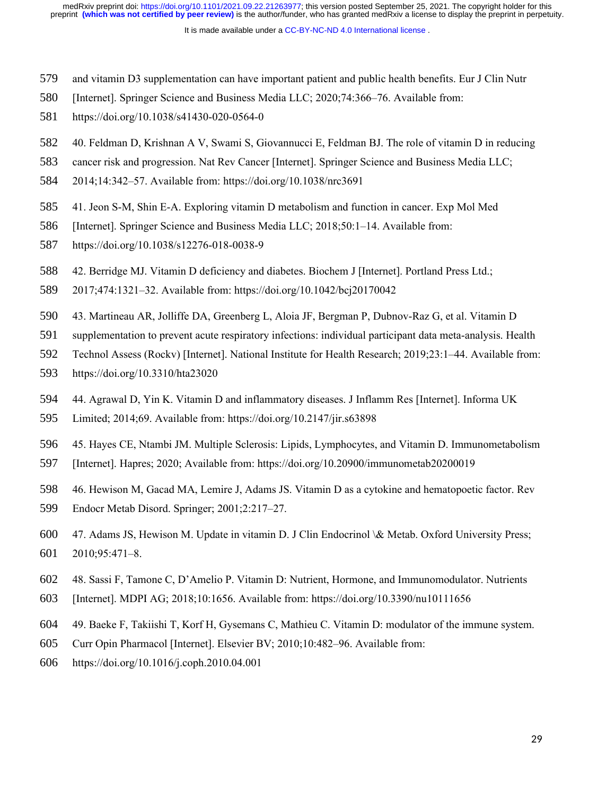- and vitamin D3 supplementation can have important patient and public health benefits. Eur J Clin Nutr 579
- [Internet]. Springer Science and Business Media LLC; 2020;74:366–76. Available from: 580
- https://doi.org/10.1038/s41430-020-0564-0 581
- 40. Feldman D, Krishnan A V, Swami S, Giovannucci E, Feldman BJ. The role of vitamin D in reducing 582
- cancer risk and progression. Nat Rev Cancer [Internet]. Springer Science and Business Media LLC; 583
- 2014;14:342–57. Available from: https://doi.org/10.1038/nrc3691 584
- 41. Jeon S-M, Shin E-A. Exploring vitamin D metabolism and function in cancer. Exp Mol Med 585
- [Internet]. Springer Science and Business Media LLC; 2018;50:1–14. Available from: 586
- https://doi.org/10.1038/s12276-018-0038-9 587
- 42. Berridge MJ. Vitamin D deficiency and diabetes. Biochem J [Internet]. Portland Press Ltd.; 588
- 2017;474:1321–32. Available from: https://doi.org/10.1042/bcj20170042 589
- 43. Martineau AR, Jolliffe DA, Greenberg L, Aloia JF, Bergman P, Dubnov-Raz G, et al. Vitamin D 590
- supplementation to prevent acute respiratory infections: individual participant data meta-analysis. Health 591
- Technol Assess (Rockv) [Internet]. National Institute for Health Research; 2019;23:1–44. Available from: 592
- https://doi.org/10.3310/hta23020 593
- 44. Agrawal D, Yin K. Vitamin D and inflammatory diseases. J Inflamm Res [Internet]. Informa UK 594
- Limited; 2014;69. Available from: https://doi.org/10.2147/jir.s63898 595
- 45. Hayes CE, Ntambi JM. Multiple Sclerosis: Lipids, Lymphocytes, and Vitamin D. Immunometabolism 596
- [Internet]. Hapres; 2020; Available from: https://doi.org/10.20900/immunometab20200019 597
- 46. Hewison M, Gacad MA, Lemire J, Adams JS. Vitamin D as a cytokine and hematopoetic factor. Rev 598
- Endocr Metab Disord. Springer; 2001;2:217–27. 599
- 47. Adams JS, Hewison M. Update in vitamin D. J Clin Endocrinol \& Metab. Oxford University Press; 2010;95:471–8. 600 601
- 48. Sassi F, Tamone C, D'Amelio P. Vitamin D: Nutrient, Hormone, and Immunomodulator. Nutrients 602
- [Internet]. MDPI AG; 2018;10:1656. Available from: https://doi.org/10.3390/nu10111656 603
- 49. Baeke F, Takiishi T, Korf H, Gysemans C, Mathieu C. Vitamin D: modulator of the immune system. 604
- Curr Opin Pharmacol [Internet]. Elsevier BV; 2010;10:482–96. Available from: 605
- https://doi.org/10.1016/j.coph.2010.04.001 606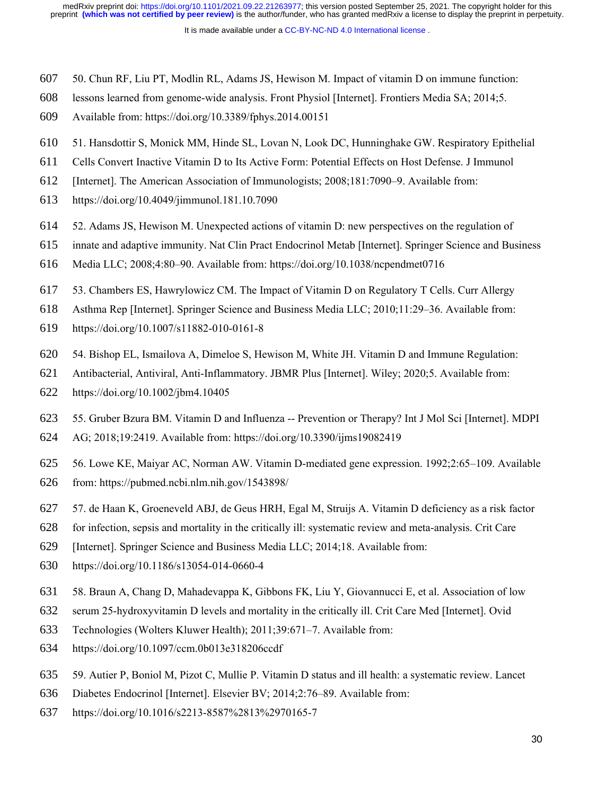- 50. Chun RF, Liu PT, Modlin RL, Adams JS, Hewison M. Impact of vitamin D on immune function: 607
- lessons learned from genome-wide analysis. Front Physiol [Internet]. Frontiers Media SA; 2014;5. 608
- Available from: https://doi.org/10.3389/fphys.2014.00151 609
- 51. Hansdottir S, Monick MM, Hinde SL, Lovan N, Look DC, Hunninghake GW. Respiratory Epithelial 610
- Cells Convert Inactive Vitamin D to Its Active Form: Potential Effects on Host Defense. J Immunol 611
- [Internet]. The American Association of Immunologists; 2008;181:7090–9. Available from: 612
- https://doi.org/10.4049/jimmunol.181.10.7090 613
- 52. Adams JS, Hewison M. Unexpected actions of vitamin D: new perspectives on the regulation of 614
- innate and adaptive immunity. Nat Clin Pract Endocrinol Metab [Internet]. Springer Science and Business 615
- Media LLC; 2008;4:80–90. Available from: https://doi.org/10.1038/ncpendmet0716 616
- 53. Chambers ES, Hawrylowicz CM. The Impact of Vitamin D on Regulatory T Cells. Curr Allergy 617
- Asthma Rep [Internet]. Springer Science and Business Media LLC; 2010;11:29–36. Available from: 618
- https://doi.org/10.1007/s11882-010-0161-8 619
- 54. Bishop EL, Ismailova A, Dimeloe S, Hewison M, White JH. Vitamin D and Immune Regulation: 620
- Antibacterial, Antiviral, Anti-Inflammatory. JBMR Plus [Internet]. Wiley; 2020;5. Available from: 621
- https://doi.org/10.1002/jbm4.10405 622
- 55. Gruber Bzura BM. Vitamin D and Influenza -- Prevention or Therapy? Int J Mol Sci [Internet]. MDPI 623
- AG; 2018;19:2419. Available from: https://doi.org/10.3390/ijms19082419 624
- 56. Lowe KE, Maiyar AC, Norman AW. Vitamin D-mediated gene expression. 1992;2:65–109. Available 625
- from: https://pubmed.ncbi.nlm.nih.gov/1543898/ 626
- 57. de Haan K, Groeneveld ABJ, de Geus HRH, Egal M, Struijs A. Vitamin D deficiency as a risk factor 627
- for infection, sepsis and mortality in the critically ill: systematic review and meta-analysis. Crit Care 628
- [Internet]. Springer Science and Business Media LLC; 2014;18. Available from: 629
- https://doi.org/10.1186/s13054-014-0660-4 630
- 58. Braun A, Chang D, Mahadevappa K, Gibbons FK, Liu Y, Giovannucci E, et al. Association of low 631
- serum 25-hydroxyvitamin D levels and mortality in the critically ill. Crit Care Med [Internet]. Ovid 632
- Technologies (Wolters Kluwer Health); 2011;39:671–7. Available from: 633
- https://doi.org/10.1097/ccm.0b013e318206ccdf 634
- 59. Autier P, Boniol M, Pizot C, Mullie P. Vitamin D status and ill health: a systematic review. Lancet 635
- Diabetes Endocrinol [Internet]. Elsevier BV; 2014;2:76–89. Available from: 636
- https://doi.org/10.1016/s2213-8587%2813%2970165-7 637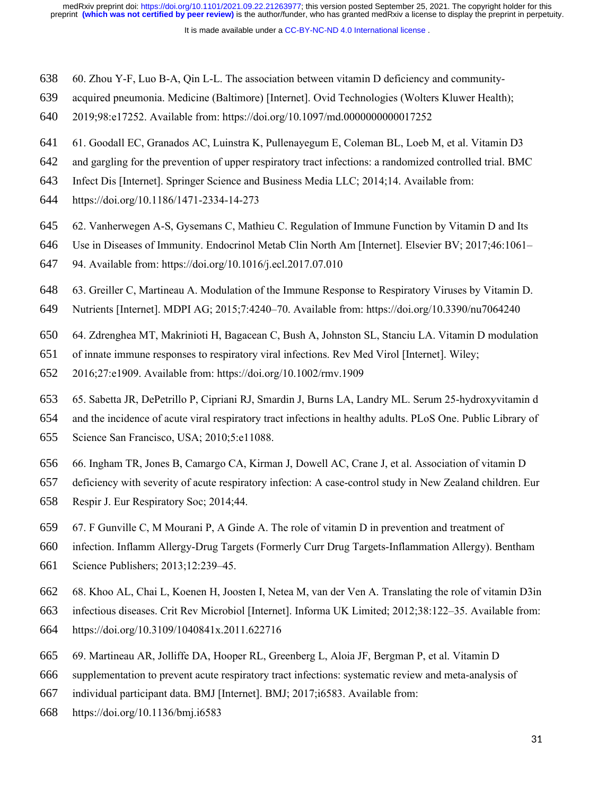- 60. Zhou Y-F, Luo B-A, Qin L-L. The association between vitamin D deficiency and community-638
- acquired pneumonia. Medicine (Baltimore) [Internet]. Ovid Technologies (Wolters Kluwer Health); 639
- 2019;98:e17252. Available from: https://doi.org/10.1097/md.0000000000017252 640
- 61. Goodall EC, Granados AC, Luinstra K, Pullenayegum E, Coleman BL, Loeb M, et al. Vitamin D3 641
- and gargling for the prevention of upper respiratory tract infections: a randomized controlled trial. BMC 642
- Infect Dis [Internet]. Springer Science and Business Media LLC; 2014;14. Available from: 643
- https://doi.org/10.1186/1471-2334-14-273 644
- 62. Vanherwegen A-S, Gysemans C, Mathieu C. Regulation of Immune Function by Vitamin D and Its 645
- Use in Diseases of Immunity. Endocrinol Metab Clin North Am [Internet]. Elsevier BV; 2017;46:1061– 646
- 94. Available from: https://doi.org/10.1016/j.ecl.2017.07.010 647
- 63. Greiller C, Martineau A. Modulation of the Immune Response to Respiratory Viruses by Vitamin D. 648
- Nutrients [Internet]. MDPI AG; 2015;7:4240–70. Available from: https://doi.org/10.3390/nu7064240 649
- 64. Zdrenghea MT, Makrinioti H, Bagacean C, Bush A, Johnston SL, Stanciu LA. Vitamin D modulation 650
- of innate immune responses to respiratory viral infections. Rev Med Virol [Internet]. Wiley; 651
- 2016;27:e1909. Available from: https://doi.org/10.1002/rmv.1909 652
- 65. Sabetta JR, DePetrillo P, Cipriani RJ, Smardin J, Burns LA, Landry ML. Serum 25-hydroxyvitamin d 653
- and the incidence of acute viral respiratory tract infections in healthy adults. PLoS One. Public Library of 654
- Science San Francisco, USA; 2010;5:e11088. 655
- 66. Ingham TR, Jones B, Camargo CA, Kirman J, Dowell AC, Crane J, et al. Association of vitamin D 656
- deficiency with severity of acute respiratory infection: A case-control study in New Zealand children. Eur 657
- Respir J. Eur Respiratory Soc; 2014;44. 658
- 67. F Gunville C, M Mourani P, A Ginde A. The role of vitamin D in prevention and treatment of 659
- infection. Inflamm Allergy-Drug Targets (Formerly Curr Drug Targets-Inflammation Allergy). Bentham 660
- Science Publishers; 2013;12:239–45. 661
- 68. Khoo AL, Chai L, Koenen H, Joosten I, Netea M, van der Ven A. Translating the role of vitamin D3in 662
- infectious diseases. Crit Rev Microbiol [Internet]. Informa UK Limited; 2012;38:122–35. Available from: 663
- https://doi.org/10.3109/1040841x.2011.622716 664
- 69. Martineau AR, Jolliffe DA, Hooper RL, Greenberg L, Aloia JF, Bergman P, et al. Vitamin D 665
- supplementation to prevent acute respiratory tract infections: systematic review and meta-analysis of 666
- individual participant data. BMJ [Internet]. BMJ; 2017;i6583. Available from: 667
- https://doi.org/10.1136/bmj.i6583 668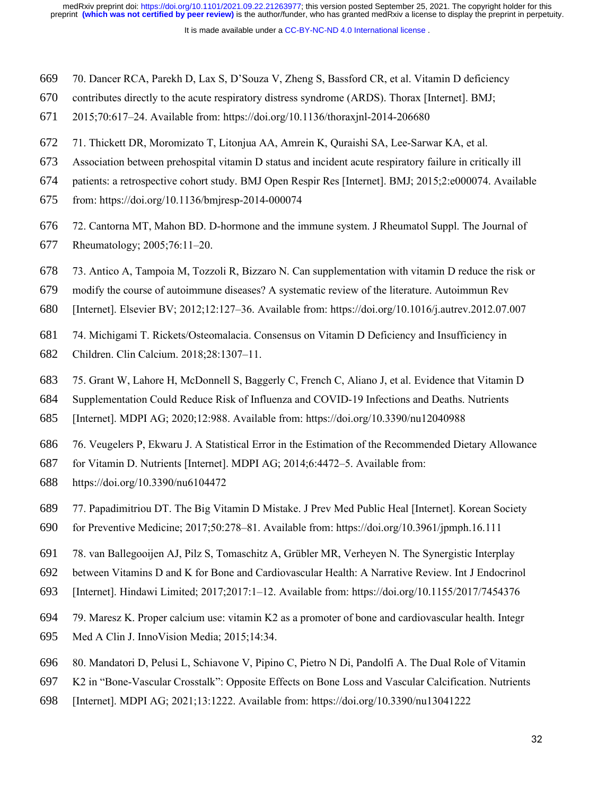- 70. Dancer RCA, Parekh D, Lax S, D'Souza V, Zheng S, Bassford CR, et al. Vitamin D deficiency 669
- contributes directly to the acute respiratory distress syndrome (ARDS). Thorax [Internet]. BMJ; 670
- 2015;70:617–24. Available from: https://doi.org/10.1136/thoraxjnl-2014-206680 671
- 71. Thickett DR, Moromizato T, Litonjua AA, Amrein K, Quraishi SA, Lee-Sarwar KA, et al. 672
- Association between prehospital vitamin D status and incident acute respiratory failure in critically ill 673
- patients: a retrospective cohort study. BMJ Open Respir Res [Internet]. BMJ; 2015;2:e000074. Available 674
- from: https://doi.org/10.1136/bmjresp-2014-000074 675
- 72. Cantorna MT, Mahon BD. D-hormone and the immune system. J Rheumatol Suppl. The Journal of 676
- Rheumatology; 2005;76:11–20. 677
- 73. Antico A, Tampoia M, Tozzoli R, Bizzaro N. Can supplementation with vitamin D reduce the risk or 678
- modify the course of autoimmune diseases? A systematic review of the literature. Autoimmun Rev 679
- [Internet]. Elsevier BV; 2012;12:127–36. Available from: https://doi.org/10.1016/j.autrev.2012.07.007 680
- 74. Michigami T. Rickets/Osteomalacia. Consensus on Vitamin D Deficiency and Insufficiency in 681
- Children. Clin Calcium. 2018;28:1307–11. 682
- 75. Grant W, Lahore H, McDonnell S, Baggerly C, French C, Aliano J, et al. Evidence that Vitamin D 683
- Supplementation Could Reduce Risk of Influenza and COVID-19 Infections and Deaths. Nutrients 684
- [Internet]. MDPI AG; 2020;12:988. Available from: https://doi.org/10.3390/nu12040988 685
- 76. Veugelers P, Ekwaru J. A Statistical Error in the Estimation of the Recommended Dietary Allowance 686
- for Vitamin D. Nutrients [Internet]. MDPI AG; 2014;6:4472–5. Available from: 687
- https://doi.org/10.3390/nu6104472 688
- 77. Papadimitriou DT. The Big Vitamin D Mistake. J Prev Med Public Heal [Internet]. Korean Society 689
- for Preventive Medicine; 2017;50:278–81. Available from: https://doi.org/10.3961/jpmph.16.111 690
- 78. van Ballegooijen AJ, Pilz S, Tomaschitz A, Grübler MR, Verheyen N. The Synergistic Interplay 691
- between Vitamins D and K for Bone and Cardiovascular Health: A Narrative Review. Int J Endocrinol 692
- [Internet]. Hindawi Limited; 2017;2017:1–12. Available from: https://doi.org/10.1155/2017/7454376 693
- 79. Maresz K. Proper calcium use: vitamin K2 as a promoter of bone and cardiovascular health. Integr 694
- Med A Clin J. InnoVision Media; 2015;14:34. 695
- 80. Mandatori D, Pelusi L, Schiavone V, Pipino C, Pietro N Di, Pandolfi A. The Dual Role of Vitamin 696
- K2 in "Bone-Vascular Crosstalk": Opposite Effects on Bone Loss and Vascular Calcification. Nutrients 697
- [Internet]. MDPI AG; 2021;13:1222. Available from: https://doi.org/10.3390/nu13041222 698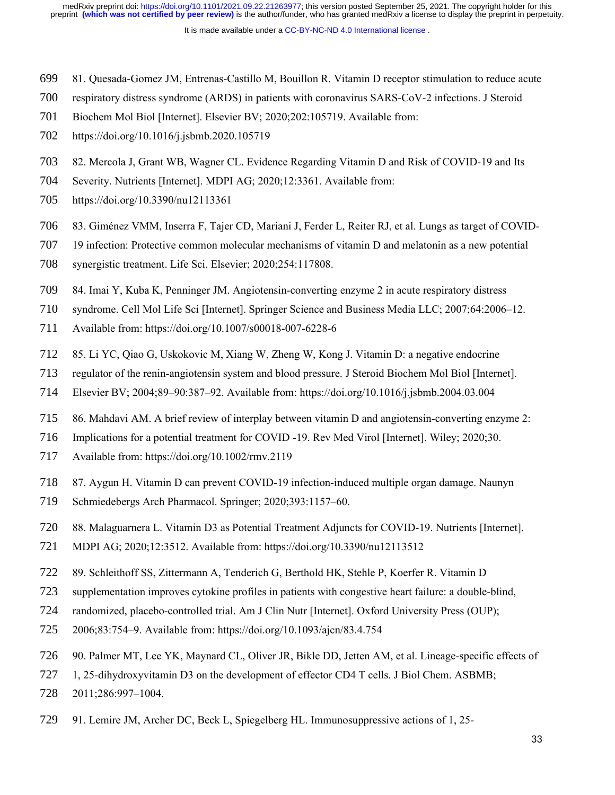- 81. Quesada-Gomez JM, Entrenas-Castillo M, Bouillon R. Vitamin D receptor stimulation to reduce acute 699
- respiratory distress syndrome (ARDS) in patients with coronavirus SARS-CoV-2 infections. J Steroid 700
- Biochem Mol Biol [Internet]. Elsevier BV; 2020;202:105719. Available from: 701
- https://doi.org/10.1016/j.jsbmb.2020.105719 702
- 82. Mercola J, Grant WB, Wagner CL. Evidence Regarding Vitamin D and Risk of COVID-19 and Its 703
- Severity. Nutrients [Internet]. MDPI AG; 2020;12:3361. Available from: 704
- https://doi.org/10.3390/nu12113361 705
- 83. Giménez VMM, Inserra F, Tajer CD, Mariani J, Ferder L, Reiter RJ, et al. Lungs as target of COVID-706
- 19 infection: Protective common molecular mechanisms of vitamin D and melatonin as a new potential 707
- synergistic treatment. Life Sci. Elsevier; 2020;254:117808. 708
- 84. Imai Y, Kuba K, Penninger JM. Angiotensin-converting enzyme 2 in acute respiratory distress 709
- syndrome. Cell Mol Life Sci [Internet]. Springer Science and Business Media LLC; 2007;64:2006–12. 710
- Available from: https://doi.org/10.1007/s00018-007-6228-6 711
- 85. Li YC, Qiao G, Uskokovic M, Xiang W, Zheng W, Kong J. Vitamin D: a negative endocrine 712
- regulator of the renin-angiotensin system and blood pressure. J Steroid Biochem Mol Biol [Internet]. 713
- Elsevier BV; 2004;89–90:387–92. Available from: https://doi.org/10.1016/j.jsbmb.2004.03.004 714
- 86. Mahdavi AM. A brief review of interplay between vitamin D and angiotensin-converting enzyme 2: 715
- Implications for a potential treatment for COVID -19. Rev Med Virol [Internet]. Wiley; 2020;30. 716
- Available from: https://doi.org/10.1002/rmv.2119 717
- 87. Aygun H. Vitamin D can prevent COVID-19 infection-induced multiple organ damage. Naunyn 718
- Schmiedebergs Arch Pharmacol. Springer; 2020;393:1157–60. 719
- 88. Malaguarnera L. Vitamin D3 as Potential Treatment Adjuncts for COVID-19. Nutrients [Internet]. 720
- MDPI AG; 2020;12:3512. Available from: https://doi.org/10.3390/nu12113512 721
- 89. Schleithoff SS, Zittermann A, Tenderich G, Berthold HK, Stehle P, Koerfer R. Vitamin D 722
- supplementation improves cytokine profiles in patients with congestive heart failure: a double-blind, 723
- randomized, placebo-controlled trial. Am J Clin Nutr [Internet]. Oxford University Press (OUP); 724
- 2006;83:754–9. Available from: https://doi.org/10.1093/ajcn/83.4.754 725
- 90. Palmer MT, Lee YK, Maynard CL, Oliver JR, Bikle DD, Jetten AM, et al. Lineage-specific effects of 726
- 1, 25-dihydroxyvitamin D3 on the development of effector CD4 T cells. J Biol Chem. ASBMB; 727
- 2011;286:997–1004. 728
- 91. Lemire JM, Archer DC, Beck L, Spiegelberg HL. Immunosuppressive actions of 1, 25- 729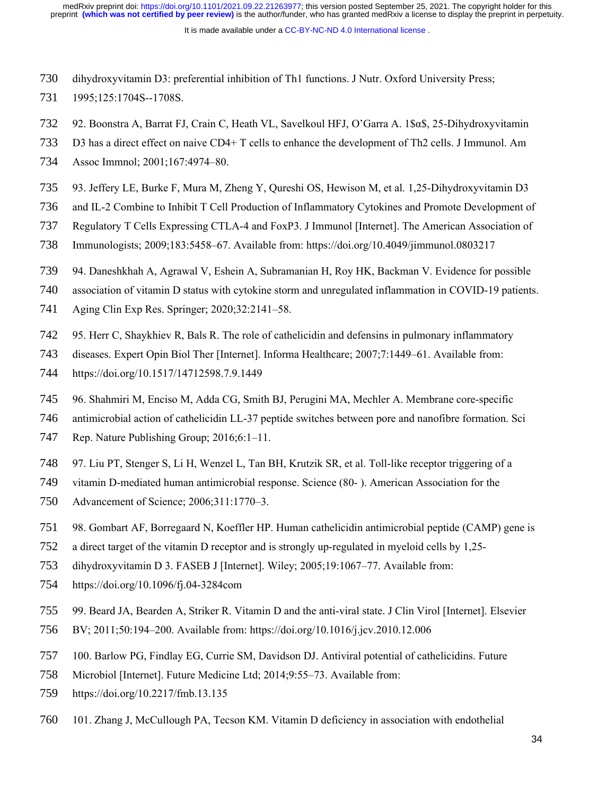- dihydroxyvitamin D3: preferential inhibition of Th1 functions. J Nutr. Oxford University Press; 730
- 1995;125:1704S--1708S. 731
- 92. Boonstra A, Barrat FJ, Crain C, Heath VL, Savelkoul HFJ, O'Garra A. 1\$α\$, 25-Dihydroxyvitamin 732
- D3 has a direct effect on naive CD4+ T cells to enhance the development of Th2 cells. J Immunol. Am 733
- Assoc Immnol; 2001;167:4974–80. 734
- 93. Jeffery LE, Burke F, Mura M, Zheng Y, Qureshi OS, Hewison M, et al. 1,25-Dihydroxyvitamin D3 735
- and IL-2 Combine to Inhibit T Cell Production of Inflammatory Cytokines and Promote Development of 736
- Regulatory T Cells Expressing CTLA-4 and FoxP3. J Immunol [Internet]. The American Association of 737
- Immunologists; 2009;183:5458–67. Available from: https://doi.org/10.4049/jimmunol.0803217 738
- 94. Daneshkhah A, Agrawal V, Eshein A, Subramanian H, Roy HK, Backman V. Evidence for possible 739
- association of vitamin D status with cytokine storm and unregulated inflammation in COVID-19 patients. 740
- Aging Clin Exp Res. Springer; 2020;32:2141–58. 741
- 95. Herr C, Shaykhiev R, Bals R. The role of cathelicidin and defensins in pulmonary inflammatory 742
- diseases. Expert Opin Biol Ther [Internet]. Informa Healthcare; 2007;7:1449–61. Available from: 743
- https://doi.org/10.1517/14712598.7.9.1449 744
- 96. Shahmiri M, Enciso M, Adda CG, Smith BJ, Perugini MA, Mechler A. Membrane core-specific 745
- antimicrobial action of cathelicidin LL-37 peptide switches between pore and nanofibre formation. Sci 746
- Rep. Nature Publishing Group; 2016;6:1–11. 747
- 97. Liu PT, Stenger S, Li H, Wenzel L, Tan BH, Krutzik SR, et al. Toll-like receptor triggering of a 748
- vitamin D-mediated human antimicrobial response. Science (80- ). American Association for the 749
- Advancement of Science; 2006;311:1770–3. 750
- 98. Gombart AF, Borregaard N, Koeffler HP. Human cathelicidin antimicrobial peptide (CAMP) gene is 751
- a direct target of the vitamin D receptor and is strongly up-regulated in myeloid cells by 1,25- 752
- dihydroxyvitamin D 3. FASEB J [Internet]. Wiley; 2005;19:1067–77. Available from: 753
- https://doi.org/10.1096/fj.04-3284com 754
- 99. Beard JA, Bearden A, Striker R. Vitamin D and the anti-viral state. J Clin Virol [Internet]. Elsevier 755
- BV; 2011;50:194–200. Available from: https://doi.org/10.1016/j.jcv.2010.12.006 756
- 100. Barlow PG, Findlay EG, Currie SM, Davidson DJ. Antiviral potential of cathelicidins. Future 757
- Microbiol [Internet]. Future Medicine Ltd; 2014;9:55–73. Available from: 758
- https://doi.org/10.2217/fmb.13.135 759
- 101. Zhang J, McCullough PA, Tecson KM. Vitamin D deficiency in association with endothelial 760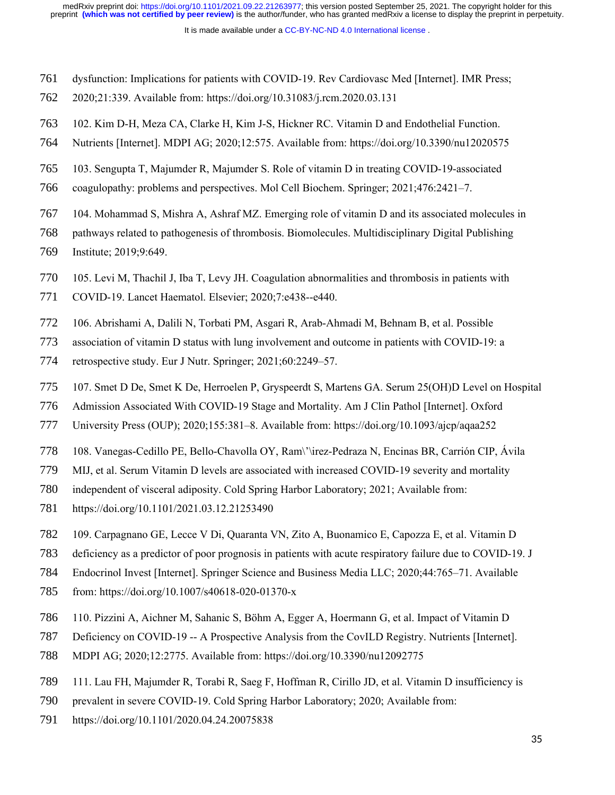- dysfunction: Implications for patients with COVID-19. Rev Cardiovasc Med [Internet]. IMR Press; 761
- 2020;21:339. Available from: https://doi.org/10.31083/j.rcm.2020.03.131 762
- 102. Kim D-H, Meza CA, Clarke H, Kim J-S, Hickner RC. Vitamin D and Endothelial Function. 763
- Nutrients [Internet]. MDPI AG; 2020;12:575. Available from: https://doi.org/10.3390/nu12020575 764
- 103. Sengupta T, Majumder R, Majumder S. Role of vitamin D in treating COVID-19-associated 765
- coagulopathy: problems and perspectives. Mol Cell Biochem. Springer; 2021;476:2421–7. 766
- 104. Mohammad S, Mishra A, Ashraf MZ. Emerging role of vitamin D and its associated molecules in 767
- pathways related to pathogenesis of thrombosis. Biomolecules. Multidisciplinary Digital Publishing 768
- Institute; 2019;9:649. 769
- 105. Levi M, Thachil J, Iba T, Levy JH. Coagulation abnormalities and thrombosis in patients with 770
- COVID-19. Lancet Haematol. Elsevier; 2020;7:e438--e440. 771
- 106. Abrishami A, Dalili N, Torbati PM, Asgari R, Arab-Ahmadi M, Behnam B, et al. Possible 772
- association of vitamin D status with lung involvement and outcome in patients with COVID-19: a 773
- retrospective study. Eur J Nutr. Springer; 2021;60:2249–57. 774
- 107. Smet D De, Smet K De, Herroelen P, Gryspeerdt S, Martens GA. Serum 25(OH)D Level on Hospital 775
- Admission Associated With COVID-19 Stage and Mortality. Am J Clin Pathol [Internet]. Oxford 776
- University Press (OUP); 2020;155:381–8. Available from: https://doi.org/10.1093/ajcp/aqaa252 777
- 108. Vanegas-Cedillo PE, Bello-Chavolla OY, Ram\'\irez-Pedraza N, Encinas BR, Carrión CIP, Ávila 778
- MIJ, et al. Serum Vitamin D levels are associated with increased COVID-19 severity and mortality 779
- independent of visceral adiposity. Cold Spring Harbor Laboratory; 2021; Available from: 780
- https://doi.org/10.1101/2021.03.12.21253490 781
- 109. Carpagnano GE, Lecce V Di, Quaranta VN, Zito A, Buonamico E, Capozza E, et al. Vitamin D 782
- deficiency as a predictor of poor prognosis in patients with acute respiratory failure due to COVID-19. J 783
- Endocrinol Invest [Internet]. Springer Science and Business Media LLC; 2020;44:765–71. Available 784
- from: https://doi.org/10.1007/s40618-020-01370-x 785
- 110. Pizzini A, Aichner M, Sahanic S, Böhm A, Egger A, Hoermann G, et al. Impact of Vitamin D 786
- Deficiency on COVID-19 -- A Prospective Analysis from the CovILD Registry. Nutrients [Internet]. 787
- MDPI AG; 2020;12:2775. Available from: https://doi.org/10.3390/nu12092775 788
- 111. Lau FH, Majumder R, Torabi R, Saeg F, Hoffman R, Cirillo JD, et al. Vitamin D insufficiency is 789
- prevalent in severe COVID-19. Cold Spring Harbor Laboratory; 2020; Available from: 790
- https://doi.org/10.1101/2020.04.24.20075838 791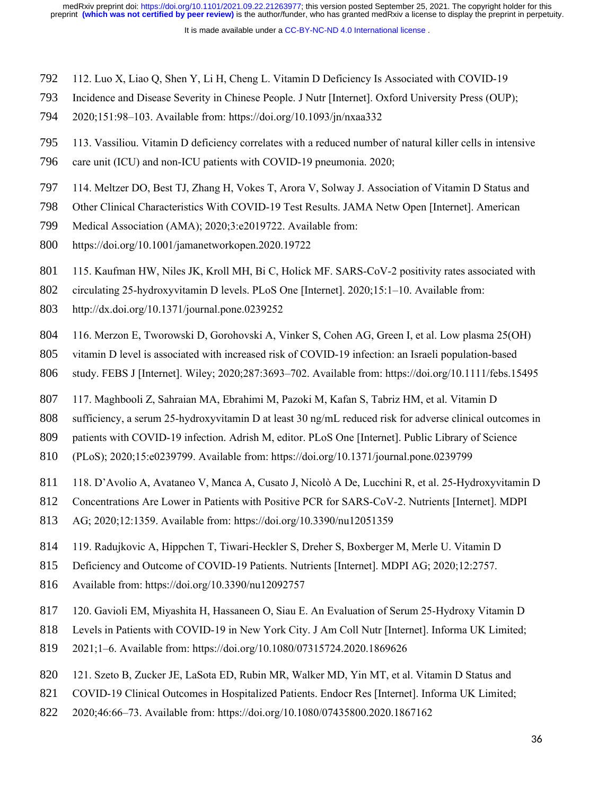- 112. Luo X, Liao Q, Shen Y, Li H, Cheng L. Vitamin D Deficiency Is Associated with COVID-19 792
- Incidence and Disease Severity in Chinese People. J Nutr [Internet]. Oxford University Press (OUP); 793
- 2020;151:98–103. Available from: https://doi.org/10.1093/jn/nxaa332 794
- 113. Vassiliou. Vitamin D deficiency correlates with a reduced number of natural killer cells in intensive 795
- care unit (ICU) and non-ICU patients with COVID-19 pneumonia. 2020; 796
- 114. Meltzer DO, Best TJ, Zhang H, Vokes T, Arora V, Solway J. Association of Vitamin D Status and 797
- Other Clinical Characteristics With COVID-19 Test Results. JAMA Netw Open [Internet]. American 798
- Medical Association (AMA); 2020;3:e2019722. Available from: 799
- https://doi.org/10.1001/jamanetworkopen.2020.19722 800
- 115. Kaufman HW, Niles JK, Kroll MH, Bi C, Holick MF. SARS-CoV-2 positivity rates associated with 801
- circulating 25-hydroxyvitamin D levels. PLoS One [Internet]. 2020;15:1–10. Available from: 802
- http://dx.doi.org/10.1371/journal.pone.0239252 803
- 116. Merzon E, Tworowski D, Gorohovski A, Vinker S, Cohen AG, Green I, et al. Low plasma 25(OH) 804
- vitamin D level is associated with increased risk of COVID-19 infection: an Israeli population-based 805
- study. FEBS J [Internet]. Wiley; 2020;287:3693–702. Available from: https://doi.org/10.1111/febs.15495 806
- 117. Maghbooli Z, Sahraian MA, Ebrahimi M, Pazoki M, Kafan S, Tabriz HM, et al. Vitamin D 807
- sufficiency, a serum 25-hydroxyvitamin D at least 30 ng/mL reduced risk for adverse clinical outcomes in 808
- patients with COVID-19 infection. Adrish M, editor. PLoS One [Internet]. Public Library of Science 809
- (PLoS); 2020;15:e0239799. Available from: https://doi.org/10.1371/journal.pone.0239799 810
- 118. D'Avolio A, Avataneo V, Manca A, Cusato J, Nicolò A De, Lucchini R, et al. 25-Hydroxyvitamin D 811
- Concentrations Are Lower in Patients with Positive PCR for SARS-CoV-2. Nutrients [Internet]. MDPI 812
- AG; 2020;12:1359. Available from: https://doi.org/10.3390/nu12051359 813
- 119. Radujkovic A, Hippchen T, Tiwari-Heckler S, Dreher S, Boxberger M, Merle U. Vitamin D 814
- Deficiency and Outcome of COVID-19 Patients. Nutrients [Internet]. MDPI AG; 2020;12:2757. 815
- Available from: https://doi.org/10.3390/nu12092757 816
- 120. Gavioli EM, Miyashita H, Hassaneen O, Siau E. An Evaluation of Serum 25-Hydroxy Vitamin D 817
- Levels in Patients with COVID-19 in New York City. J Am Coll Nutr [Internet]. Informa UK Limited; 818
- 2021;1–6. Available from: https://doi.org/10.1080/07315724.2020.1869626 819
- 121. Szeto B, Zucker JE, LaSota ED, Rubin MR, Walker MD, Yin MT, et al. Vitamin D Status and 820
- COVID-19 Clinical Outcomes in Hospitalized Patients. Endocr Res [Internet]. Informa UK Limited; 821
- 2020;46:66–73. Available from: https://doi.org/10.1080/07435800.2020.1867162 822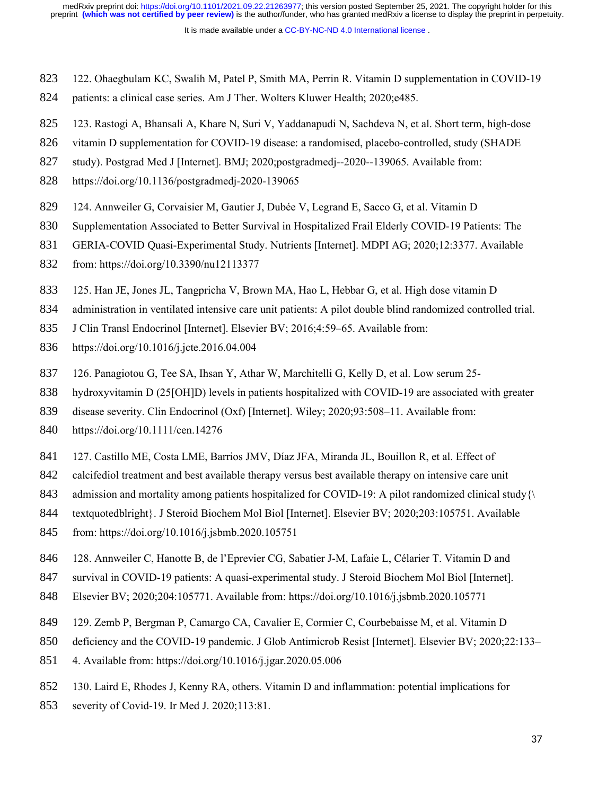- 122. Ohaegbulam KC, Swalih M, Patel P, Smith MA, Perrin R. Vitamin D supplementation in COVID-19 823
- patients: a clinical case series. Am J Ther. Wolters Kluwer Health; 2020;e485. 824
- 123. Rastogi A, Bhansali A, Khare N, Suri V, Yaddanapudi N, Sachdeva N, et al. Short term, high-dose 825
- vitamin D supplementation for COVID-19 disease: a randomised, placebo-controlled, study (SHADE 826
- study). Postgrad Med J [Internet]. BMJ; 2020;postgradmedj--2020--139065. Available from: 827
- https://doi.org/10.1136/postgradmedj-2020-139065 828
- 124. Annweiler G, Corvaisier M, Gautier J, Dubée V, Legrand E, Sacco G, et al. Vitamin D 829
- Supplementation Associated to Better Survival in Hospitalized Frail Elderly COVID-19 Patients: The 830
- GERIA-COVID Quasi-Experimental Study. Nutrients [Internet]. MDPI AG; 2020;12:3377. Available 831
- from: https://doi.org/10.3390/nu12113377 832
- 125. Han JE, Jones JL, Tangpricha V, Brown MA, Hao L, Hebbar G, et al. High dose vitamin D 833
- administration in ventilated intensive care unit patients: A pilot double blind randomized controlled trial. 834
- J Clin Transl Endocrinol [Internet]. Elsevier BV; 2016;4:59–65. Available from: 835
- https://doi.org/10.1016/j.jcte.2016.04.004 836
- 126. Panagiotou G, Tee SA, Ihsan Y, Athar W, Marchitelli G, Kelly D, et al. Low serum 25- 837
- hydroxyvitamin D (25[OH]D) levels in patients hospitalized with COVID-19 are associated with greater 838
- disease severity. Clin Endocrinol (Oxf) [Internet]. Wiley; 2020;93:508–11. Available from: 839
- https://doi.org/10.1111/cen.14276 840
- 127. Castillo ME, Costa LME, Barrios JMV, Díaz JFA, Miranda JL, Bouillon R, et al. Effect of 841
- calcifediol treatment and best available therapy versus best available therapy on intensive care unit 842
- admission and mortality among patients hospitalized for COVID-19: A pilot randomized clinical study{\ 843
- textquotedblright}. J Steroid Biochem Mol Biol [Internet]. Elsevier BV; 2020;203:105751. Available 844
- from: https://doi.org/10.1016/j.jsbmb.2020.105751 845
- 128. Annweiler C, Hanotte B, de l'Eprevier CG, Sabatier J-M, Lafaie L, Célarier T. Vitamin D and 846
- survival in COVID-19 patients: A quasi-experimental study. J Steroid Biochem Mol Biol [Internet]. 847
- Elsevier BV; 2020;204:105771. Available from: https://doi.org/10.1016/j.jsbmb.2020.105771 848
- 129. Zemb P, Bergman P, Camargo CA, Cavalier E, Cormier C, Courbebaisse M, et al. Vitamin D 849
- deficiency and the COVID-19 pandemic. J Glob Antimicrob Resist [Internet]. Elsevier BV; 2020;22:133– 850
- 4. Available from: https://doi.org/10.1016/j.jgar.2020.05.006 851
- 130. Laird E, Rhodes J, Kenny RA, others. Vitamin D and inflammation: potential implications for 852
- severity of Covid-19. Ir Med J. 2020;113:81. 853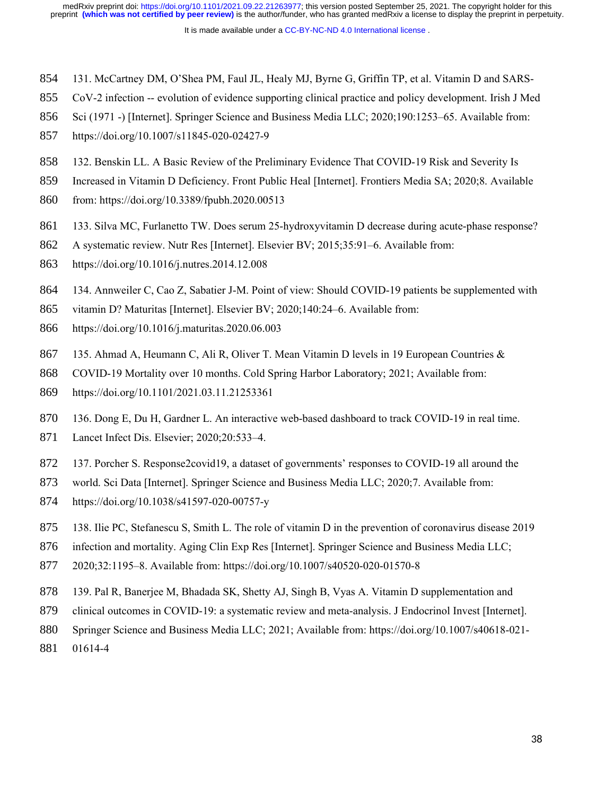- 131. McCartney DM, O'Shea PM, Faul JL, Healy MJ, Byrne G, Griffin TP, et al. Vitamin D and SARS-854
- CoV-2 infection -- evolution of evidence supporting clinical practice and policy development. Irish J Med 855
- Sci (1971 -) [Internet]. Springer Science and Business Media LLC; 2020;190:1253–65. Available from: 856
- https://doi.org/10.1007/s11845-020-02427-9 857
- 132. Benskin LL. A Basic Review of the Preliminary Evidence That COVID-19 Risk and Severity Is 858
- Increased in Vitamin D Deficiency. Front Public Heal [Internet]. Frontiers Media SA; 2020;8. Available 859
- from: https://doi.org/10.3389/fpubh.2020.00513 860
- 133. Silva MC, Furlanetto TW. Does serum 25-hydroxyvitamin D decrease during acute-phase response? 861
- A systematic review. Nutr Res [Internet]. Elsevier BV; 2015;35:91–6. Available from: 862
- https://doi.org/10.1016/j.nutres.2014.12.008 863
- 134. Annweiler C, Cao Z, Sabatier J-M. Point of view: Should COVID-19 patients be supplemented with 864
- vitamin D? Maturitas [Internet]. Elsevier BV; 2020;140:24–6. Available from: 865
- https://doi.org/10.1016/j.maturitas.2020.06.003 866
- 135. Ahmad A, Heumann C, Ali R, Oliver T. Mean Vitamin D levels in 19 European Countries & 867
- COVID-19 Mortality over 10 months. Cold Spring Harbor Laboratory; 2021; Available from: 868
- https://doi.org/10.1101/2021.03.11.21253361 869
- 136. Dong E, Du H, Gardner L. An interactive web-based dashboard to track COVID-19 in real time. 870
- Lancet Infect Dis. Elsevier; 2020;20:533–4. 871
- 137. Porcher S. Response2covid19, a dataset of governments' responses to COVID-19 all around the 872
- world. Sci Data [Internet]. Springer Science and Business Media LLC; 2020;7. Available from: 873
- https://doi.org/10.1038/s41597-020-00757-y 874
- 138. Ilie PC, Stefanescu S, Smith L. The role of vitamin D in the prevention of coronavirus disease 2019 875
- infection and mortality. Aging Clin Exp Res [Internet]. Springer Science and Business Media LLC; 876
- 2020;32:1195–8. Available from: https://doi.org/10.1007/s40520-020-01570-8 877
- 139. Pal R, Banerjee M, Bhadada SK, Shetty AJ, Singh B, Vyas A. Vitamin D supplementation and 878
- clinical outcomes in COVID-19: a systematic review and meta-analysis. J Endocrinol Invest [Internet]. 879
- Springer Science and Business Media LLC; 2021; Available from: https://doi.org/10.1007/s40618-021- 880
- 01614-4 881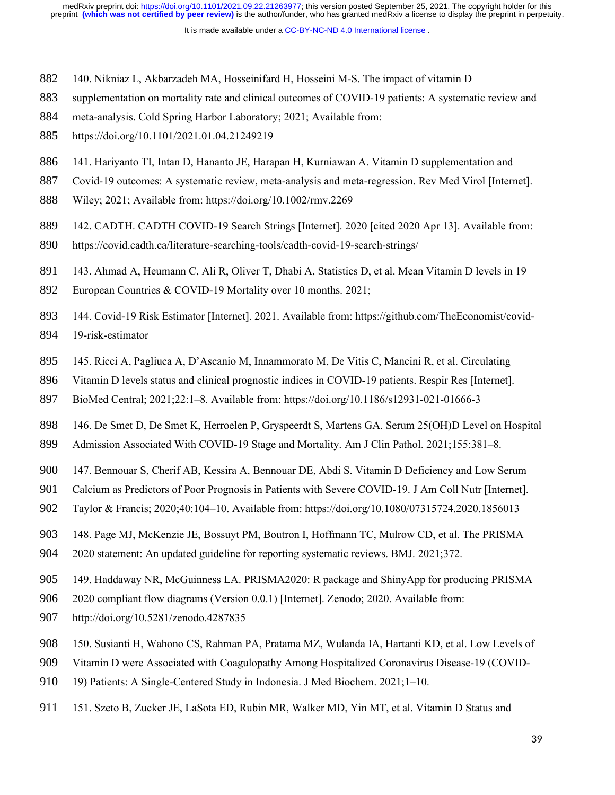- 140. Nikniaz L, Akbarzadeh MA, Hosseinifard H, Hosseini M-S. The impact of vitamin D 882
- supplementation on mortality rate and clinical outcomes of COVID-19 patients: A systematic review and 883
- meta-analysis. Cold Spring Harbor Laboratory; 2021; Available from: 884
- https://doi.org/10.1101/2021.01.04.21249219 885
- 141. Hariyanto TI, Intan D, Hananto JE, Harapan H, Kurniawan A. Vitamin D supplementation and 886
- Covid-19 outcomes: A systematic review, meta-analysis and meta-regression. Rev Med Virol [Internet]. 887
- Wiley; 2021; Available from: https://doi.org/10.1002/rmv.2269 888
- 142. CADTH. CADTH COVID-19 Search Strings [Internet]. 2020 [cited 2020 Apr 13]. Available from: 889
- https://covid.cadth.ca/literature-searching-tools/cadth-covid-19-search-strings/ 890
- 143. Ahmad A, Heumann C, Ali R, Oliver T, Dhabi A, Statistics D, et al. Mean Vitamin D levels in 19 891
- European Countries & COVID-19 Mortality over 10 months. 2021; 892
- 144. Covid-19 Risk Estimator [Internet]. 2021. Available from: https://github.com/TheEconomist/covid-19-risk-estimator 893 894
- 145. Ricci A, Pagliuca A, D'Ascanio M, Innammorato M, De Vitis C, Mancini R, et al. Circulating 895
- Vitamin D levels status and clinical prognostic indices in COVID-19 patients. Respir Res [Internet]. 896
- BioMed Central; 2021;22:1–8. Available from: https://doi.org/10.1186/s12931-021-01666-3 897
- 146. De Smet D, De Smet K, Herroelen P, Gryspeerdt S, Martens GA. Serum 25(OH)D Level on Hospital 898
- Admission Associated With COVID-19 Stage and Mortality. Am J Clin Pathol. 2021;155:381–8. 899
- 147. Bennouar S, Cherif AB, Kessira A, Bennouar DE, Abdi S. Vitamin D Deficiency and Low Serum 900
- Calcium as Predictors of Poor Prognosis in Patients with Severe COVID-19. J Am Coll Nutr [Internet]. 901
- Taylor & Francis; 2020;40:104–10. Available from: https://doi.org/10.1080/07315724.2020.1856013 902
- 148. Page MJ, McKenzie JE, Bossuyt PM, Boutron I, Hoffmann TC, Mulrow CD, et al. The PRISMA 903
- 2020 statement: An updated guideline for reporting systematic reviews. BMJ. 2021;372. 904
- 149. Haddaway NR, McGuinness LA. PRISMA2020: R package and ShinyApp for producing PRISMA 905
- 2020 compliant flow diagrams (Version 0.0.1) [Internet]. Zenodo; 2020. Available from: 906
- http://doi.org/10.5281/zenodo.4287835 907
- 150. Susianti H, Wahono CS, Rahman PA, Pratama MZ, Wulanda IA, Hartanti KD, et al. Low Levels of 908
- Vitamin D were Associated with Coagulopathy Among Hospitalized Coronavirus Disease-19 (COVID-909
- 19) Patients: A Single-Centered Study in Indonesia. J Med Biochem. 2021;1–10. 910
- 151. Szeto B, Zucker JE, LaSota ED, Rubin MR, Walker MD, Yin MT, et al. Vitamin D Status and 911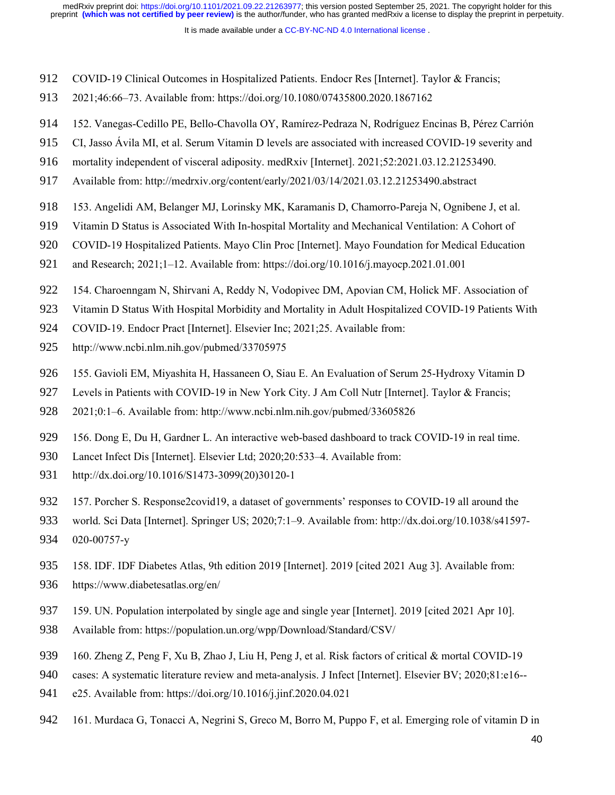- COVID-19 Clinical Outcomes in Hospitalized Patients. Endocr Res [Internet]. Taylor & Francis; 912
- 2021;46:66–73. Available from: https://doi.org/10.1080/07435800.2020.1867162 913
- 152. Vanegas-Cedillo PE, Bello-Chavolla OY, Ramírez-Pedraza N, Rodríguez Encinas B, Pérez Carrión 914
- CI, Jasso Ávila MI, et al. Serum Vitamin D levels are associated with increased COVID-19 severity and 915
- mortality independent of visceral adiposity. medRxiv [Internet]. 2021;52:2021.03.12.21253490. 916
- Available from: http://medrxiv.org/content/early/2021/03/14/2021.03.12.21253490.abstract 917
- 153. Angelidi AM, Belanger MJ, Lorinsky MK, Karamanis D, Chamorro-Pareja N, Ognibene J, et al. 918
- Vitamin D Status is Associated With In-hospital Mortality and Mechanical Ventilation: A Cohort of 919
- COVID-19 Hospitalized Patients. Mayo Clin Proc [Internet]. Mayo Foundation for Medical Education 920
- and Research; 2021;1–12. Available from: https://doi.org/10.1016/j.mayocp.2021.01.001 921
- 154. Charoenngam N, Shirvani A, Reddy N, Vodopivec DM, Apovian CM, Holick MF. Association of 922
- Vitamin D Status With Hospital Morbidity and Mortality in Adult Hospitalized COVID-19 Patients With 923
- COVID-19. Endocr Pract [Internet]. Elsevier Inc; 2021;25. Available from: 924
- http://www.ncbi.nlm.nih.gov/pubmed/33705975 925
- 155. Gavioli EM, Miyashita H, Hassaneen O, Siau E. An Evaluation of Serum 25-Hydroxy Vitamin D 926
- Levels in Patients with COVID-19 in New York City. J Am Coll Nutr [Internet]. Taylor & Francis; 927
- 2021;0:1–6. Available from: http://www.ncbi.nlm.nih.gov/pubmed/33605826 928
- 156. Dong E, Du H, Gardner L. An interactive web-based dashboard to track COVID-19 in real time. 929
- Lancet Infect Dis [Internet]. Elsevier Ltd; 2020;20:533–4. Available from: 930
- http://dx.doi.org/10.1016/S1473-3099(20)30120-1 931
- 157. Porcher S. Response2covid19, a dataset of governments' responses to COVID-19 all around the 932
- world. Sci Data [Internet]. Springer US; 2020;7:1–9. Available from: http://dx.doi.org/10.1038/s41597- 020-00757-y 933 934
- 158. IDF. IDF Diabetes Atlas, 9th edition 2019 [Internet]. 2019 [cited 2021 Aug 3]. Available from: 935
- https://www.diabetesatlas.org/en/ 936
- 159. UN. Population interpolated by single age and single year [Internet]. 2019 [cited 2021 Apr 10]. 937
- Available from: https://population.un.org/wpp/Download/Standard/CSV/ 938
- 160. Zheng Z, Peng F, Xu B, Zhao J, Liu H, Peng J, et al. Risk factors of critical & mortal COVID-19 939
- cases: A systematic literature review and meta-analysis. J Infect [Internet]. Elsevier BV; 2020;81:e16-- 940
- e25. Available from: https://doi.org/10.1016/j.jinf.2020.04.021 941
- 161. Murdaca G, Tonacci A, Negrini S, Greco M, Borro M, Puppo F, et al. Emerging role of vitamin D in 942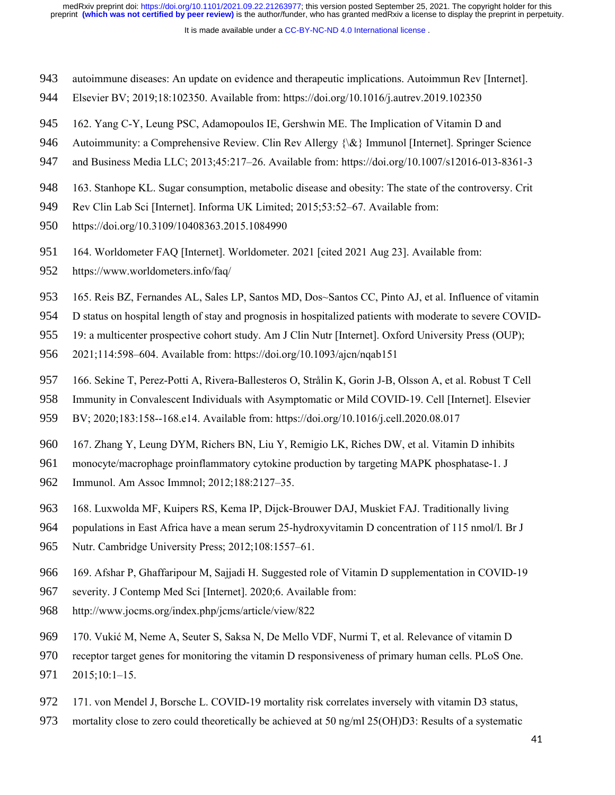- autoimmune diseases: An update on evidence and therapeutic implications. Autoimmun Rev [Internet]. 943
- Elsevier BV; 2019;18:102350. Available from: https://doi.org/10.1016/j.autrev.2019.102350 944
- 162. Yang C-Y, Leung PSC, Adamopoulos IE, Gershwin ME. The Implication of Vitamin D and 945
- Autoimmunity: a Comprehensive Review. Clin Rev Allergy {\&} Immunol [Internet]. Springer Science 946
- and Business Media LLC; 2013;45:217–26. Available from: https://doi.org/10.1007/s12016-013-8361-3 947
- 163. Stanhope KL. Sugar consumption, metabolic disease and obesity: The state of the controversy. Crit 948
- Rev Clin Lab Sci [Internet]. Informa UK Limited; 2015;53:52–67. Available from: 949
- https://doi.org/10.3109/10408363.2015.1084990 950
- 164. Worldometer FAQ [Internet]. Worldometer. 2021 [cited 2021 Aug 23]. Available from: 951
- https://www.worldometers.info/faq/ 952
- 165. Reis BZ, Fernandes AL, Sales LP, Santos MD, Dos~Santos CC, Pinto AJ, et al. Influence of vitamin 953
- D status on hospital length of stay and prognosis in hospitalized patients with moderate to severe COVID-954
- 19: a multicenter prospective cohort study. Am J Clin Nutr [Internet]. Oxford University Press (OUP); 955
- 2021;114:598–604. Available from: https://doi.org/10.1093/ajcn/nqab151 956
- 166. Sekine T, Perez-Potti A, Rivera-Ballesteros O, Strålin K, Gorin J-B, Olsson A, et al. Robust T Cell 957
- Immunity in Convalescent Individuals with Asymptomatic or Mild COVID-19. Cell [Internet]. Elsevier 958
- BV; 2020;183:158--168.e14. Available from: https://doi.org/10.1016/j.cell.2020.08.017 959
- 167. Zhang Y, Leung DYM, Richers BN, Liu Y, Remigio LK, Riches DW, et al. Vitamin D inhibits 960
- monocyte/macrophage proinflammatory cytokine production by targeting MAPK phosphatase-1. J 961
- Immunol. Am Assoc Immnol; 2012;188:2127–35. 962
- 168. Luxwolda MF, Kuipers RS, Kema IP, Dijck-Brouwer DAJ, Muskiet FAJ. Traditionally living 963
- populations in East Africa have a mean serum 25-hydroxyvitamin D concentration of 115 nmol/l. Br J 964
- Nutr. Cambridge University Press; 2012;108:1557–61. 965
- 169. Afshar P, Ghaffaripour M, Sajjadi H. Suggested role of Vitamin D supplementation in COVID-19 966
- severity. J Contemp Med Sci [Internet]. 2020;6. Available from: 967
- http://www.jocms.org/index.php/jcms/article/view/822 968
- 170. Vukić M, Neme A, Seuter S, Saksa N, De Mello VDF, Nurmi T, et al. Relevance of vitamin D 969
- receptor target genes for monitoring the vitamin D responsiveness of primary human cells. PLoS One. 2015;10:1–15. 970 971
- 171. von Mendel J, Borsche L. COVID-19 mortality risk correlates inversely with vitamin D3 status, 972
- mortality close to zero could theoretically be achieved at 50 ng/ml 25(OH)D3: Results of a systematic 973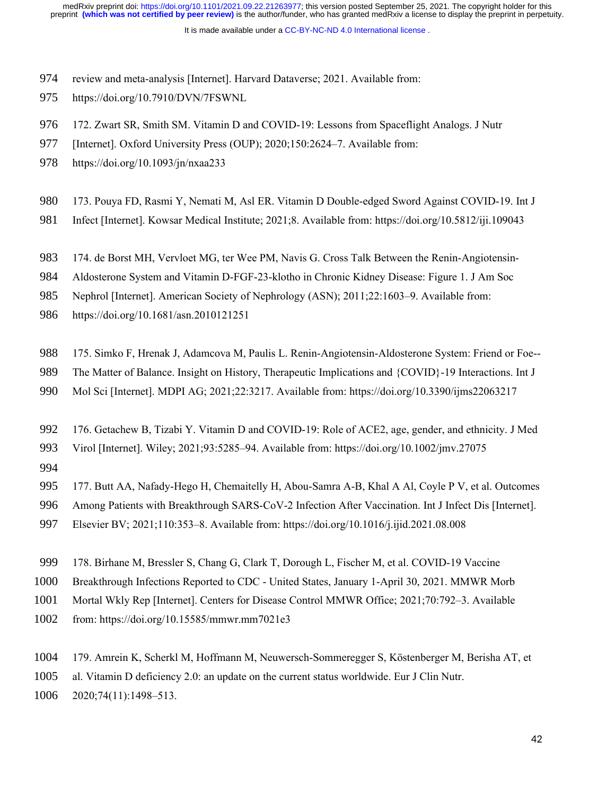It is made available under a [CC-BY-NC-ND 4.0 International license](http://creativecommons.org/licenses/by-nc-nd/4.0/) .

- review and meta-analysis [Internet]. Harvard Dataverse; 2021. Available from: 974
- https://doi.org/10.7910/DVN/7FSWNL 975
- 172. Zwart SR, Smith SM. Vitamin D and COVID-19: Lessons from Spaceflight Analogs. J Nutr 976
- [Internet]. Oxford University Press (OUP); 2020;150:2624-7. Available from: 977
- https://doi.org/10.1093/jn/nxaa233 978
- 173. Pouya FD, Rasmi Y, Nemati M, Asl ER. Vitamin D Double-edged Sword Against COVID-19. Int J 980
- Infect [Internet]. Kowsar Medical Institute; 2021;8. Available from: https://doi.org/10.5812/iji.109043 981
- 174. de Borst MH, Vervloet MG, ter Wee PM, Navis G. Cross Talk Between the Renin-Angiotensin-983
- Aldosterone System and Vitamin D-FGF-23-klotho in Chronic Kidney Disease: Figure 1. J Am Soc 984
- Nephrol [Internet]. American Society of Nephrology (ASN); 2011;22:1603–9. Available from: 985
- https://doi.org/10.1681/asn.2010121251 986
- 175. Simko F, Hrenak J, Adamcova M, Paulis L. Renin-Angiotensin-Aldosterone System: Friend or Foe-- 988
- The Matter of Balance. Insight on History, Therapeutic Implications and {COVID}-19 Interactions. Int J 989
- Mol Sci [Internet]. MDPI AG; 2021;22:3217. Available from: https://doi.org/10.3390/ijms22063217 990
- 176. Getachew B, Tizabi Y. Vitamin D and COVID-19: Role of ACE2, age, gender, and ethnicity. J Med 992
- Virol [Internet]. Wiley; 2021;93:5285–94. Available from: https://doi.org/10.1002/jmv.27075 993
- 994

177. Butt AA, Nafady-Hego H, Chemaitelly H, Abou-Samra A-B, Khal A Al, Coyle P V, et al. Outcomes 995

- Among Patients with Breakthrough SARS-CoV-2 Infection After Vaccination. Int J Infect Dis [Internet]. 996
- Elsevier BV; 2021;110:353–8. Available from: https://doi.org/10.1016/j.ijid.2021.08.008 997
- 178. Birhane M, Bressler S, Chang G, Clark T, Dorough L, Fischer M, et al. COVID-19 Vaccine 999
- Breakthrough Infections Reported to CDC United States, January 1-April 30, 2021. MMWR Morb 1000
- Mortal Wkly Rep [Internet]. Centers for Disease Control MMWR Office; 2021;70:792–3. Available 1001
- from: https://doi.org/10.15585/mmwr.mm7021e3 1002
- 179. Amrein K, Scherkl M, Hoffmann M, Neuwersch-Sommeregger S, Köstenberger M, Berisha AT, et 1004

al. Vitamin D deficiency 2.0: an update on the current status worldwide. Eur J Clin Nutr. 1005

2020;74(11):1498–513. 1006